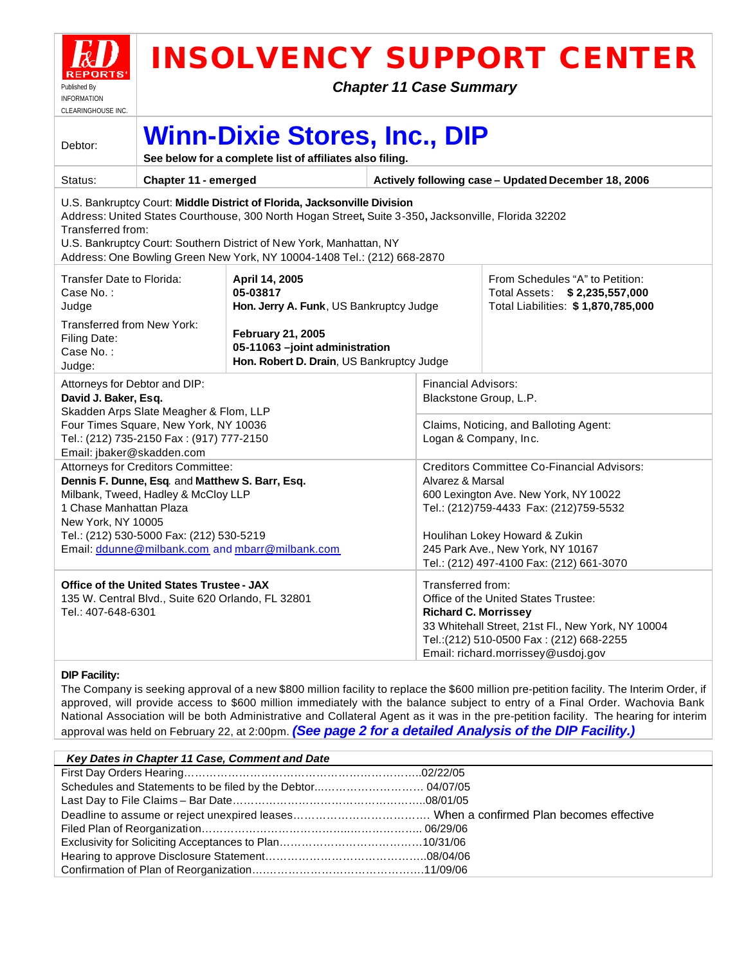

# **INSOLVENCY SUPPORT CENTER**

*Chapter 11 Case Summary*

| ULEARINGHUUSE INU.                                                                                                                                                                                                                                                                                                                                     |                                                                                                                              |                                                                                                         |  |                                                                                                                                                                                                                                 |  |  |  |  |  |
|--------------------------------------------------------------------------------------------------------------------------------------------------------------------------------------------------------------------------------------------------------------------------------------------------------------------------------------------------------|------------------------------------------------------------------------------------------------------------------------------|---------------------------------------------------------------------------------------------------------|--|---------------------------------------------------------------------------------------------------------------------------------------------------------------------------------------------------------------------------------|--|--|--|--|--|
| Debtor:                                                                                                                                                                                                                                                                                                                                                | <b>Winn-Dixie Stores, Inc., DIP</b><br>See below for a complete list of affiliates also filing.                              |                                                                                                         |  |                                                                                                                                                                                                                                 |  |  |  |  |  |
| Status:                                                                                                                                                                                                                                                                                                                                                | Chapter 11 - emerged                                                                                                         |                                                                                                         |  | Actively following case - Updated December 18, 2006                                                                                                                                                                             |  |  |  |  |  |
| U.S. Bankruptcy Court: Middle District of Florida, Jacksonville Division<br>Address: United States Courthouse, 300 North Hogan Street, Suite 3-350, Jacksonville, Florida 32202<br>Transferred from:<br>U.S. Bankruptcy Court: Southern District of New York, Manhattan, NY<br>Address: One Bowling Green New York, NY 10004-1408 Tel.: (212) 668-2870 |                                                                                                                              |                                                                                                         |  |                                                                                                                                                                                                                                 |  |  |  |  |  |
| Transfer Date to Florida:<br>Case No.:<br>Judge                                                                                                                                                                                                                                                                                                        |                                                                                                                              | April 14, 2005<br>05-03817<br>Hon. Jerry A. Funk, US Bankruptcy Judge                                   |  | From Schedules "A" to Petition:<br>Total Assets: \$2,235,557,000<br>Total Liabilities: \$1,870,785,000                                                                                                                          |  |  |  |  |  |
| Transferred from New York:<br>Filing Date:<br>Case No.:<br>Judge:                                                                                                                                                                                                                                                                                      |                                                                                                                              | <b>February 21, 2005</b><br>05-11063 -joint administration<br>Hon. Robert D. Drain, US Bankruptcy Judge |  |                                                                                                                                                                                                                                 |  |  |  |  |  |
| Attorneys for Debtor and DIP:<br>David J. Baker, Esq.<br>Skadden Arps Slate Meagher & Flom, LLP                                                                                                                                                                                                                                                        |                                                                                                                              |                                                                                                         |  | <b>Financial Advisors:</b><br>Blackstone Group, L.P.                                                                                                                                                                            |  |  |  |  |  |
| Email: jbaker@skadden.com                                                                                                                                                                                                                                                                                                                              | Four Times Square, New York, NY 10036<br>Tel.: (212) 735-2150 Fax: (917) 777-2150                                            |                                                                                                         |  | Claims, Noticing, and Balloting Agent:<br>Logan & Company, Inc.                                                                                                                                                                 |  |  |  |  |  |
| 1 Chase Manhattan Plaza<br>New York, NY 10005                                                                                                                                                                                                                                                                                                          | Attorneys for Creditors Committee:<br>Dennis F. Dunne, Esq. and Matthew S. Barr, Esq.<br>Milbank, Tweed, Hadley & McCloy LLP |                                                                                                         |  | <b>Creditors Committee Co-Financial Advisors:</b><br>Alvarez & Marsal<br>600 Lexington Ave. New York, NY 10022<br>Tel.: (212)759-4433 Fax: (212)759-5532                                                                        |  |  |  |  |  |
|                                                                                                                                                                                                                                                                                                                                                        | Tel.: (212) 530-5000 Fax: (212) 530-5219                                                                                     | Email: ddunne@milbank.com and mbarr@milbank.com                                                         |  | Houlihan Lokey Howard & Zukin<br>245 Park Ave., New York, NY 10167<br>Tel.: (212) 497-4100 Fax: (212) 661-3070                                                                                                                  |  |  |  |  |  |
| Office of the United States Trustee - JAX<br>135 W. Central Blvd., Suite 620 Orlando, FL 32801<br>Tel.: 407-648-6301                                                                                                                                                                                                                                   |                                                                                                                              |                                                                                                         |  | Transferred from:<br>Office of the United States Trustee:<br><b>Richard C. Morrissey</b><br>33 Whitehall Street, 21st Fl., New York, NY 10004<br>Tel.: (212) 510-0500 Fax: (212) 668-2255<br>Email: richard.morrissey@usdoj.gov |  |  |  |  |  |

# **DIP Facility:**

The Company is seeking approval of a new \$800 million facility to replace the \$600 million pre-petition facility. The Interim Order, if approved, will provide access to \$600 million immediately with the balance subject to entry of a Final Order. Wachovia Bank National Association will be both Administrative and Collateral Agent as it was in the pre-petition facility. The hearing for interim approval was held on February 22, at 2:00pm. *(See page 2 for a detailed Analysis of the DIP Facility.)*

| Key Dates in Chapter 11 Case, Comment and Date |  |
|------------------------------------------------|--|
|                                                |  |
|                                                |  |
|                                                |  |
|                                                |  |
|                                                |  |
|                                                |  |
|                                                |  |
|                                                |  |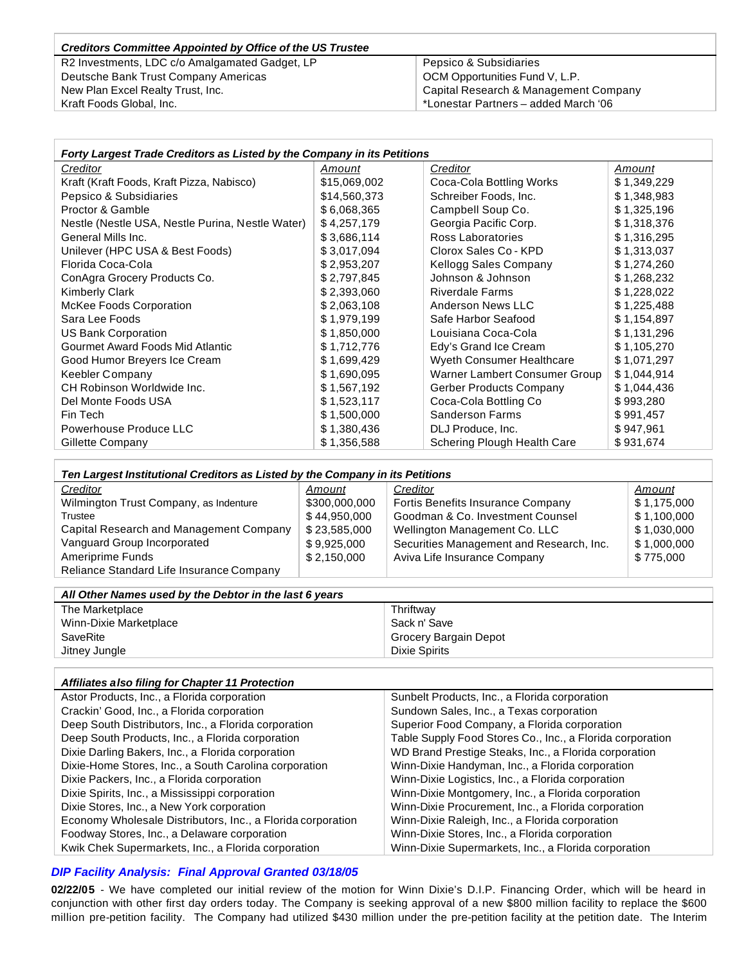#### *Creditors Committee Appointed by Office of the US Trustee* R2 Investments, LDC c/o Amalgamated Gadget, LP Deutsche Bank Trust Company Americas New Plan Excel Realty Trust, Inc. Kraft Foods Global, Inc. Pepsico & Subsidiaries OCM Opportunities Fund V, L.P. Capital Research & Management Company \*Lonestar Partners – added March '06

| Forty Largest Trade Creditors as Listed by the Company in its Petitions |              |                                |             |  |  |  |  |
|-------------------------------------------------------------------------|--------------|--------------------------------|-------------|--|--|--|--|
| Creditor                                                                | Amount       | Creditor                       | Amount      |  |  |  |  |
| Kraft (Kraft Foods, Kraft Pizza, Nabisco)                               | \$15,069,002 | Coca-Cola Bottling Works       | \$1,349,229 |  |  |  |  |
| Pepsico & Subsidiaries                                                  | \$14,560,373 | Schreiber Foods, Inc.          | \$1,348,983 |  |  |  |  |
| Proctor & Gamble                                                        | \$6,068,365  | Campbell Soup Co.              | \$1,325,196 |  |  |  |  |
| Nestle (Nestle USA, Nestle Purina, Nestle Water)                        | \$4,257,179  | Georgia Pacific Corp.          | \$1,318,376 |  |  |  |  |
| General Mills Inc.                                                      | \$3,686,114  | Ross Laboratories              | \$1,316,295 |  |  |  |  |
| Unilever (HPC USA & Best Foods)                                         | \$3,017,094  | Clorox Sales Co - KPD          | \$1,313,037 |  |  |  |  |
| Florida Coca-Cola                                                       | \$2,953,207  | Kellogg Sales Company          | \$1,274,260 |  |  |  |  |
| ConAgra Grocery Products Co.                                            | \$2,797,845  | Johnson & Johnson              | \$1,268,232 |  |  |  |  |
| <b>Kimberly Clark</b>                                                   | \$2,393,060  | <b>Riverdale Farms</b>         | \$1,228,022 |  |  |  |  |
| McKee Foods Corporation                                                 | \$2,063,108  | Anderson News LLC              | \$1,225,488 |  |  |  |  |
| Sara Lee Foods                                                          | \$1,979,199  | Safe Harbor Seafood            | \$1,154,897 |  |  |  |  |
| US Bank Corporation                                                     | \$1,850,000  | Louisiana Coca-Cola            | \$1,131,296 |  |  |  |  |
| Gourmet Award Foods Mid Atlantic                                        | \$1,712,776  | Edy's Grand Ice Cream          | \$1,105,270 |  |  |  |  |
| Good Humor Breyers Ice Cream                                            | \$1,699,429  | Wyeth Consumer Healthcare      | \$1,071,297 |  |  |  |  |
| Keebler Company                                                         | \$1,690,095  | Warner Lambert Consumer Group  | \$1,044,914 |  |  |  |  |
| CH Robinson Worldwide Inc.                                              | \$1,567,192  | <b>Gerber Products Company</b> | \$1,044,436 |  |  |  |  |
| Del Monte Foods USA                                                     | \$1,523,117  | Coca-Cola Bottling Co          | \$993,280   |  |  |  |  |
| Fin Tech                                                                | \$1,500,000  | <b>Sanderson Farms</b>         | \$991,457   |  |  |  |  |
| Powerhouse Produce LLC                                                  | \$1,380,436  | DLJ Produce, Inc.              | \$947,961   |  |  |  |  |
| Gillette Company                                                        | \$1,356,588  | Schering Plough Health Care    | \$931,674   |  |  |  |  |

| Ten Largest Institutional Creditors as Listed by the Company in its Petitions |               |                                          |             |  |  |  |  |
|-------------------------------------------------------------------------------|---------------|------------------------------------------|-------------|--|--|--|--|
| Creditor                                                                      | Amount        | Creditor                                 | Amount      |  |  |  |  |
| Wilmington Trust Company, as Indenture                                        | \$300,000,000 | Fortis Benefits Insurance Company        | \$1,175,000 |  |  |  |  |
| Trustee                                                                       | \$44,950,000  | Goodman & Co. Investment Counsel         | \$1,100,000 |  |  |  |  |
| Capital Research and Management Company                                       | \$23.585.000  | Wellington Management Co. LLC            | \$1,030,000 |  |  |  |  |
| Vanguard Group Incorporated                                                   | \$9,925,000   | Securities Management and Research, Inc. | \$1,000,000 |  |  |  |  |
| Ameriprime Funds                                                              | \$2.150.000   | Aviva Life Insurance Company             | \$775,000   |  |  |  |  |
| Reliance Standard Life Insurance Company                                      |               |                                          |             |  |  |  |  |

| All Other Names used by the Debtor in the last 6 years |                       |  |  |  |  |
|--------------------------------------------------------|-----------------------|--|--|--|--|
| The Marketplace<br>Thriftwav                           |                       |  |  |  |  |
| Sack n' Save<br>Winn-Dixie Marketplace                 |                       |  |  |  |  |
| SaveRite                                               | Grocery Bargain Depot |  |  |  |  |
| <b>Dixie Spirits</b><br>Jitney Jungle                  |                       |  |  |  |  |

| <b>Affiliates also filing for Chapter 11 Protection</b>     |                                                           |
|-------------------------------------------------------------|-----------------------------------------------------------|
| Astor Products, Inc., a Florida corporation                 | Sunbelt Products, Inc., a Florida corporation             |
| Crackin' Good, Inc., a Florida corporation                  | Sundown Sales, Inc., a Texas corporation                  |
| Deep South Distributors, Inc., a Florida corporation        | Superior Food Company, a Florida corporation              |
| Deep South Products, Inc., a Florida corporation            | Table Supply Food Stores Co., Inc., a Florida corporation |
| Dixie Darling Bakers, Inc., a Florida corporation           | WD Brand Prestige Steaks, Inc., a Florida corporation     |
| Dixie-Home Stores, Inc., a South Carolina corporation       | Winn-Dixie Handyman, Inc., a Florida corporation          |
| Dixie Packers, Inc., a Florida corporation                  | Winn-Dixie Logistics, Inc., a Florida corporation         |
| Dixie Spirits, Inc., a Mississippi corporation              | Winn-Dixie Montgomery, Inc., a Florida corporation        |
| Dixie Stores, Inc., a New York corporation                  | Winn-Dixie Procurement, Inc., a Florida corporation       |
| Economy Wholesale Distributors, Inc., a Florida corporation | Winn-Dixie Raleigh, Inc., a Florida corporation           |
| Foodway Stores, Inc., a Delaware corporation                | Winn-Dixie Stores, Inc., a Florida corporation            |
| Kwik Chek Supermarkets, Inc., a Florida corporation         | Winn-Dixie Supermarkets, Inc., a Florida corporation      |

# *DIP Facility Analysis: Final Approval Granted 03/18/05*

**02/22/05** - We have completed our initial review of the motion for Winn Dixie's D.I.P. Financing Order, which will be heard in conjunction with other first day orders today. The Company is seeking approval of a new \$800 million facility to replace the \$600 million pre-petition facility. The Company had utilized \$430 million under the pre-petition facility at the petition date. The Interim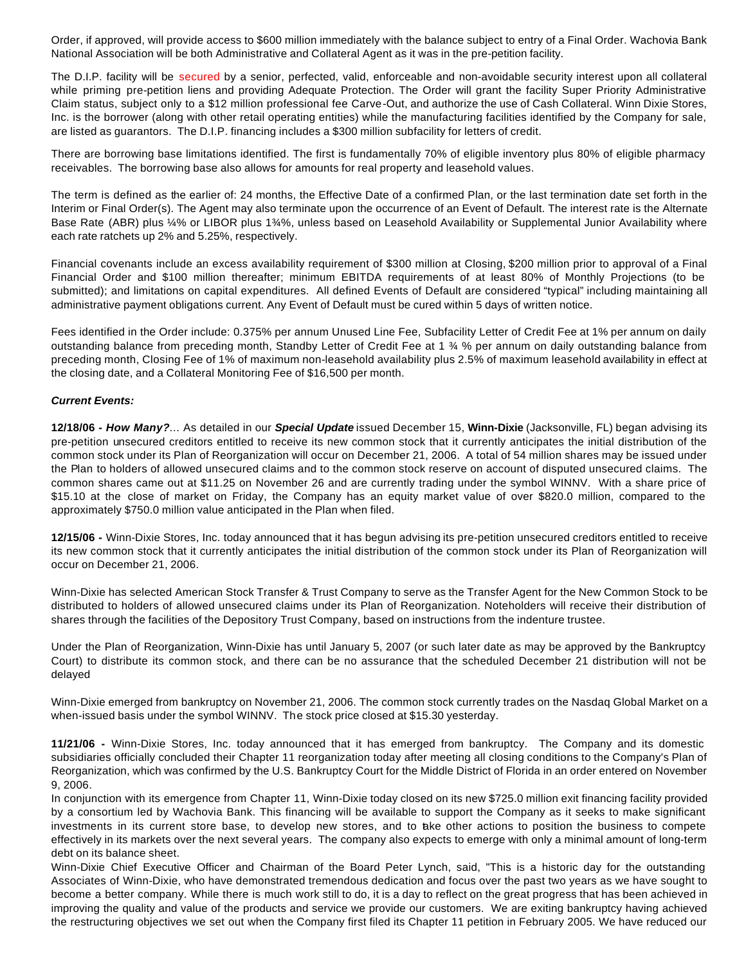Order, if approved, will provide access to \$600 million immediately with the balance subject to entry of a Final Order. Wachovia Bank National Association will be both Administrative and Collateral Agent as it was in the pre-petition facility.

The D.I.P. facility will be secured by a senior, perfected, valid, enforceable and non-avoidable security interest upon all collateral while priming pre-petition liens and providing Adequate Protection. The Order will grant the facility Super Priority Administrative Claim status, subject only to a \$12 million professional fee Carve-Out, and authorize the use of Cash Collateral. Winn Dixie Stores, Inc. is the borrower (along with other retail operating entities) while the manufacturing facilities identified by the Company for sale, are listed as guarantors. The D.I.P. financing includes a \$300 million subfacility for letters of credit.

There are borrowing base limitations identified. The first is fundamentally 70% of eligible inventory plus 80% of eligible pharmacy receivables. The borrowing base also allows for amounts for real property and leasehold values.

The term is defined as the earlier of: 24 months, the Effective Date of a confirmed Plan, or the last termination date set forth in the Interim or Final Order(s). The Agent may also terminate upon the occurrence of an Event of Default. The interest rate is the Alternate Base Rate (ABR) plus ¼% or LIBOR plus 1¾%, unless based on Leasehold Availability or Supplemental Junior Availability where each rate ratchets up 2% and 5.25%, respectively.

Financial covenants include an excess availability requirement of \$300 million at Closing, \$200 million prior to approval of a Final Financial Order and \$100 million thereafter; minimum EBITDA requirements of at least 80% of Monthly Projections (to be submitted); and limitations on capital expenditures. All defined Events of Default are considered "typical" including maintaining all administrative payment obligations current. Any Event of Default must be cured within 5 days of written notice.

Fees identified in the Order include: 0.375% per annum Unused Line Fee, Subfacility Letter of Credit Fee at 1% per annum on daily outstanding balance from preceding month, Standby Letter of Credit Fee at 1 ¾ % per annum on daily outstanding balance from preceding month, Closing Fee of 1% of maximum non-leasehold availability plus 2.5% of maximum leasehold availability in effect at the closing date, and a Collateral Monitoring Fee of \$16,500 per month.

#### *Current Events:*

**12/18/06 -** *How Many?*… As detailed in our *Special Update* issued December 15, **Winn-Dixie** (Jacksonville, FL) began advising its pre-petition unsecured creditors entitled to receive its new common stock that it currently anticipates the initial distribution of the common stock under its Plan of Reorganization will occur on December 21, 2006. A total of 54 million shares may be issued under the Plan to holders of allowed unsecured claims and to the common stock reserve on account of disputed unsecured claims. The common shares came out at \$11.25 on November 26 and are currently trading under the symbol WINNV. With a share price of \$15.10 at the close of market on Friday, the Company has an equity market value of over \$820.0 million, compared to the approximately \$750.0 million value anticipated in the Plan when filed.

**12/15/06 -** Winn-Dixie Stores, Inc. today announced that it has begun advising its pre-petition unsecured creditors entitled to receive its new common stock that it currently anticipates the initial distribution of the common stock under its Plan of Reorganization will occur on December 21, 2006.

Winn-Dixie has selected American Stock Transfer & Trust Company to serve as the Transfer Agent for the New Common Stock to be distributed to holders of allowed unsecured claims under its Plan of Reorganization. Noteholders will receive their distribution of shares through the facilities of the Depository Trust Company, based on instructions from the indenture trustee.

Under the Plan of Reorganization, Winn-Dixie has until January 5, 2007 (or such later date as may be approved by the Bankruptcy Court) to distribute its common stock, and there can be no assurance that the scheduled December 21 distribution will not be delayed

Winn-Dixie emerged from bankruptcy on November 21, 2006. The common stock currently trades on the Nasdaq Global Market on a when-issued basis under the symbol WINNV. The stock price closed at \$15.30 yesterday.

**11/21/06 -** Winn-Dixie Stores, Inc. today announced that it has emerged from bankruptcy. The Company and its domestic subsidiaries officially concluded their Chapter 11 reorganization today after meeting all closing conditions to the Company's Plan of Reorganization, which was confirmed by the U.S. Bankruptcy Court for the Middle District of Florida in an order entered on November 9, 2006.

In conjunction with its emergence from Chapter 11, Winn-Dixie today closed on its new \$725.0 million exit financing facility provided by a consortium led by Wachovia Bank. This financing will be available to support the Company as it seeks to make significant investments in its current store base, to develop new stores, and to ake other actions to position the business to compete effectively in its markets over the next several years. The company also expects to emerge with only a minimal amount of long-term debt on its balance sheet.

Winn-Dixie Chief Executive Officer and Chairman of the Board Peter Lynch, said, "This is a historic day for the outstanding Associates of Winn-Dixie, who have demonstrated tremendous dedication and focus over the past two years as we have sought to become a better company. While there is much work still to do, it is a day to reflect on the great progress that has been achieved in improving the quality and value of the products and service we provide our customers. We are exiting bankruptcy having achieved the restructuring objectives we set out when the Company first filed its Chapter 11 petition in February 2005. We have reduced our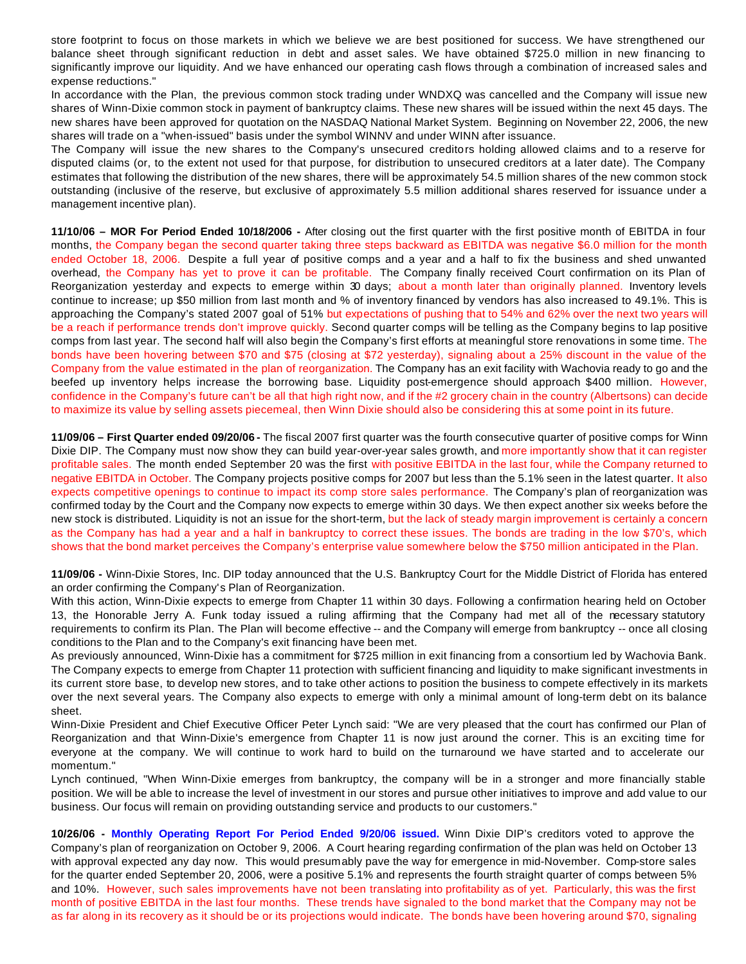store footprint to focus on those markets in which we believe we are best positioned for success. We have strengthened our balance sheet through significant reduction in debt and asset sales. We have obtained \$725.0 million in new financing to significantly improve our liquidity. And we have enhanced our operating cash flows through a combination of increased sales and expense reductions."

In accordance with the Plan, the previous common stock trading under WNDXQ was cancelled and the Company will issue new shares of Winn-Dixie common stock in payment of bankruptcy claims. These new shares will be issued within the next 45 days. The new shares have been approved for quotation on the NASDAQ National Market System. Beginning on November 22, 2006, the new shares will trade on a "when-issued" basis under the symbol WINNV and under WINN after issuance.

The Company will issue the new shares to the Company's unsecured creditors holding allowed claims and to a reserve for disputed claims (or, to the extent not used for that purpose, for distribution to unsecured creditors at a later date). The Company estimates that following the distribution of the new shares, there will be approximately 54.5 million shares of the new common stock outstanding (inclusive of the reserve, but exclusive of approximately 5.5 million additional shares reserved for issuance under a management incentive plan).

**11/10/06 – MOR For Period Ended 10/18/2006 -** After closing out the first quarter with the first positive month of EBITDA in four months, the Company began the second quarter taking three steps backward as EBITDA was negative \$6.0 million for the month ended October 18, 2006. Despite a full year of positive comps and a year and a half to fix the business and shed unwanted overhead, the Company has yet to prove it can be profitable. The Company finally received Court confirmation on its Plan of Reorganization yesterday and expects to emerge within 30 days; about a month later than originally planned. Inventory levels continue to increase; up \$50 million from last month and % of inventory financed by vendors has also increased to 49.1%. This is approaching the Company's stated 2007 goal of 51% but expectations of pushing that to 54% and 62% over the next two years will be a reach if performance trends don't improve quickly. Second quarter comps will be telling as the Company begins to lap positive comps from last year. The second half will also begin the Company's first efforts at meaningful store renovations in some time. The bonds have been hovering between \$70 and \$75 (closing at \$72 yesterday), signaling about a 25% discount in the value of the Company from the value estimated in the plan of reorganization. The Company has an exit facility with Wachovia ready to go and the beefed up inventory helps increase the borrowing base. Liquidity post-emergence should approach \$400 million. However, confidence in the Company's future can't be all that high right now, and if the #2 grocery chain in the country (Albertsons) can decide to maximize its value by selling assets piecemeal, then Winn Dixie should also be considering this at some point in its future.

**11/09/06 – First Quarter ended 09/20/06 -** The fiscal 2007 first quarter was the fourth consecutive quarter of positive comps for Winn Dixie DIP. The Company must now show they can build year-over-year sales growth, and more importantly show that it can register profitable sales. The month ended September 20 was the first with positive EBITDA in the last four, while the Company returned to negative EBITDA in October. The Company projects positive comps for 2007 but less than the 5.1% seen in the latest quarter. It also expects competitive openings to continue to impact its comp store sales performance. The Company's plan of reorganization was confirmed today by the Court and the Company now expects to emerge within 30 days. We then expect another six weeks before the new stock is distributed. Liquidity is not an issue for the short-term, but the lack of steady margin improvement is certainly a concern as the Company has had a year and a half in bankruptcy to correct these issues. The bonds are trading in the low \$70's, which shows that the bond market perceives the Company's enterprise value somewhere below the \$750 million anticipated in the Plan.

**11/09/06 -** Winn-Dixie Stores, Inc. DIP today announced that the U.S. Bankruptcy Court for the Middle District of Florida has entered an order confirming the Company's Plan of Reorganization.

With this action, Winn-Dixie expects to emerge from Chapter 11 within 30 days. Following a confirmation hearing held on October 13, the Honorable Jerry A. Funk today issued a ruling affirming that the Company had met all of the necessary statutory requirements to confirm its Plan. The Plan will become effective -- and the Company will emerge from bankruptcy -- once all closing conditions to the Plan and to the Company's exit financing have been met.

As previously announced, Winn-Dixie has a commitment for \$725 million in exit financing from a consortium led by Wachovia Bank. The Company expects to emerge from Chapter 11 protection with sufficient financing and liquidity to make significant investments in its current store base, to develop new stores, and to take other actions to position the business to compete effectively in its markets over the next several years. The Company also expects to emerge with only a minimal amount of long-term debt on its balance sheet.

Winn-Dixie President and Chief Executive Officer Peter Lynch said: "We are very pleased that the court has confirmed our Plan of Reorganization and that Winn-Dixie's emergence from Chapter 11 is now just around the corner. This is an exciting time for everyone at the company. We will continue to work hard to build on the turnaround we have started and to accelerate our momentum."

Lynch continued, "When Winn-Dixie emerges from bankruptcy, the company will be in a stronger and more financially stable position. We will be able to increase the level of investment in our stores and pursue other initiatives to improve and add value to our business. Our focus will remain on providing outstanding service and products to our customers."

**10/26/06 - Monthly Operating Report For Period Ended 9/20/06 issued.** Winn Dixie DIP's creditors voted to approve the Company's plan of reorganization on October 9, 2006. A Court hearing regarding confirmation of the plan was held on October 13 with approval expected any day now. This would presumably pave the way for emergence in mid-November. Comp-store sales for the quarter ended September 20, 2006, were a positive 5.1% and represents the fourth straight quarter of comps between 5% and 10%. However, such sales improvements have not been translating into profitability as of yet. Particularly, this was the first month of positive EBITDA in the last four months. These trends have signaled to the bond market that the Company may not be as far along in its recovery as it should be or its projections would indicate. The bonds have been hovering around \$70, signaling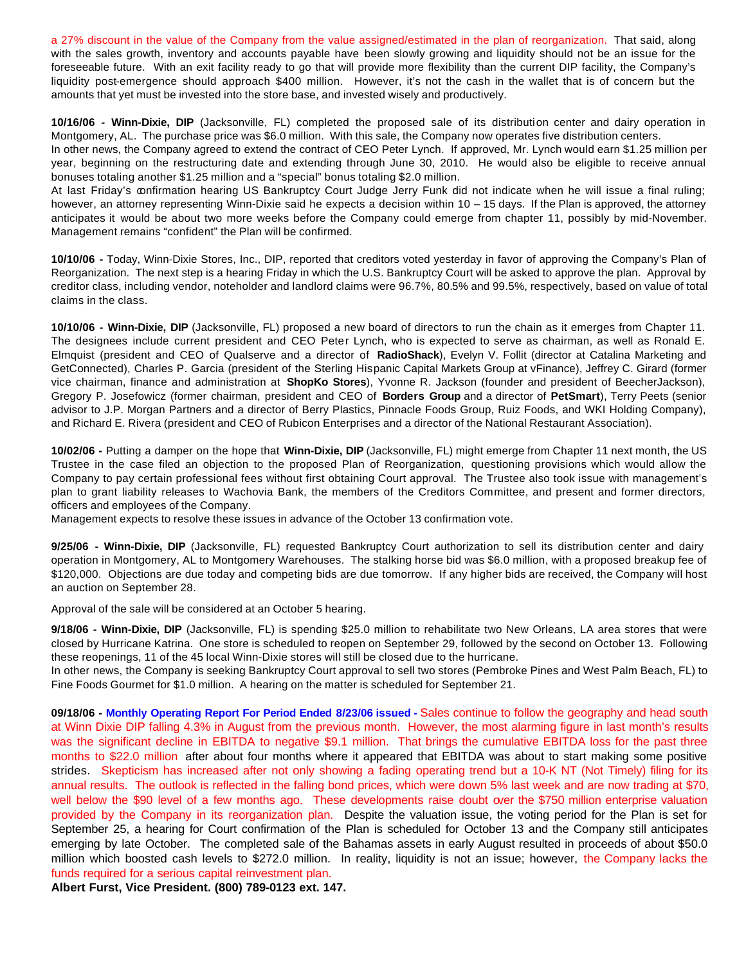a 27% discount in the value of the Company from the value assigned/estimated in the plan of reorganization. That said, along with the sales growth, inventory and accounts payable have been slowly growing and liquidity should not be an issue for the foreseeable future. With an exit facility ready to go that will provide more flexibility than the current DIP facility, the Company's liquidity post-emergence should approach \$400 million. However, it's not the cash in the wallet that is of concern but the amounts that yet must be invested into the store base, and invested wisely and productively.

**10/16/06 - Winn-Dixie, DIP** (Jacksonville, FL) completed the proposed sale of its distribution center and dairy operation in Montgomery, AL. The purchase price was \$6.0 million. With this sale, the Company now operates five distribution centers. In other news, the Company agreed to extend the contract of CEO Peter Lynch. If approved, Mr. Lynch would earn \$1.25 million per year, beginning on the restructuring date and extending through June 30, 2010. He would also be eligible to receive annual

bonuses totaling another \$1.25 million and a "special" bonus totaling \$2.0 million. At last Friday's confirmation hearing US Bankruptcy Court Judge Jerry Funk did not indicate when he will issue a final ruling; however, an attorney representing Winn-Dixie said he expects a decision within 10 – 15 days. If the Plan is approved, the attorney anticipates it would be about two more weeks before the Company could emerge from chapter 11, possibly by mid-November. Management remains "confident" the Plan will be confirmed.

**10/10/06 -** Today, Winn-Dixie Stores, Inc., DIP, reported that creditors voted yesterday in favor of approving the Company's Plan of Reorganization. The next step is a hearing Friday in which the U.S. Bankruptcy Court will be asked to approve the plan. Approval by creditor class, including vendor, noteholder and landlord claims were 96.7%, 80.5% and 99.5%, respectively, based on value of total claims in the class.

**10/10/06 - Winn-Dixie, DIP** (Jacksonville, FL) proposed a new board of directors to run the chain as it emerges from Chapter 11. The designees include current president and CEO Peter Lynch, who is expected to serve as chairman, as well as Ronald E. Elmquist (president and CEO of Qualserve and a director of **RadioShack**), Evelyn V. Follit (director at Catalina Marketing and GetConnected), Charles P. Garcia (president of the Sterling Hispanic Capital Markets Group at vFinance), Jeffrey C. Girard (former vice chairman, finance and administration at **ShopKo Stores**), Yvonne R. Jackson (founder and president of BeecherJackson), Gregory P. Josefowicz (former chairman, president and CEO of **Borders Group** and a director of **PetSmart**), Terry Peets (senior advisor to J.P. Morgan Partners and a director of Berry Plastics, Pinnacle Foods Group, Ruiz Foods, and WKI Holding Company), and Richard E. Rivera (president and CEO of Rubicon Enterprises and a director of the National Restaurant Association).

**10/02/06 -** Putting a damper on the hope that **Winn-Dixie, DIP** (Jacksonville, FL) might emerge from Chapter 11 next month, the US Trustee in the case filed an objection to the proposed Plan of Reorganization, questioning provisions which would allow the Company to pay certain professional fees without first obtaining Court approval. The Trustee also took issue with management's plan to grant liability releases to Wachovia Bank, the members of the Creditors Committee, and present and former directors, officers and employees of the Company.

Management expects to resolve these issues in advance of the October 13 confirmation vote.

**9/25/06 - Winn-Dixie, DIP** (Jacksonville, FL) requested Bankruptcy Court authorization to sell its distribution center and dairy operation in Montgomery, AL to Montgomery Warehouses. The stalking horse bid was \$6.0 million, with a proposed breakup fee of \$120,000. Objections are due today and competing bids are due tomorrow. If any higher bids are received, the Company will host an auction on September 28.

Approval of the sale will be considered at an October 5 hearing.

**9/18/06 - Winn-Dixie, DIP** (Jacksonville, FL) is spending \$25.0 million to rehabilitate two New Orleans, LA area stores that were closed by Hurricane Katrina. One store is scheduled to reopen on September 29, followed by the second on October 13. Following these reopenings, 11 of the 45 local Winn-Dixie stores will still be closed due to the hurricane.

In other news, the Company is seeking Bankruptcy Court approval to sell two stores (Pembroke Pines and West Palm Beach, FL) to Fine Foods Gourmet for \$1.0 million. A hearing on the matter is scheduled for September 21.

**09/18/06 - Monthly Operating Report For Period Ended 8/23/06 issued -** Sales continue to follow the geography and head south at Winn Dixie DIP falling 4.3% in August from the previous month. However, the most alarming figure in last month's results was the significant decline in EBITDA to negative \$9.1 million. That brings the cumulative EBITDA loss for the past three months to \$22.0 million after about four months where it appeared that EBITDA was about to start making some positive strides. Skepticism has increased after not only showing a fading operating trend but a 10-K NT (Not Timely) filing for its annual results. The outlook is reflected in the falling bond prices, which were down 5% last week and are now trading at \$70, well below the \$90 level of a few months ago. These developments raise doubt over the \$750 million enterprise valuation provided by the Company in its reorganization plan. Despite the valuation issue, the voting period for the Plan is set for September 25, a hearing for Court confirmation of the Plan is scheduled for October 13 and the Company still anticipates emerging by late October. The completed sale of the Bahamas assets in early August resulted in proceeds of about \$50.0 million which boosted cash levels to \$272.0 million. In reality, liquidity is not an issue; however, the Company lacks the funds required for a serious capital reinvestment plan.

**Albert Furst, Vice President. (800) 789-0123 ext. 147.**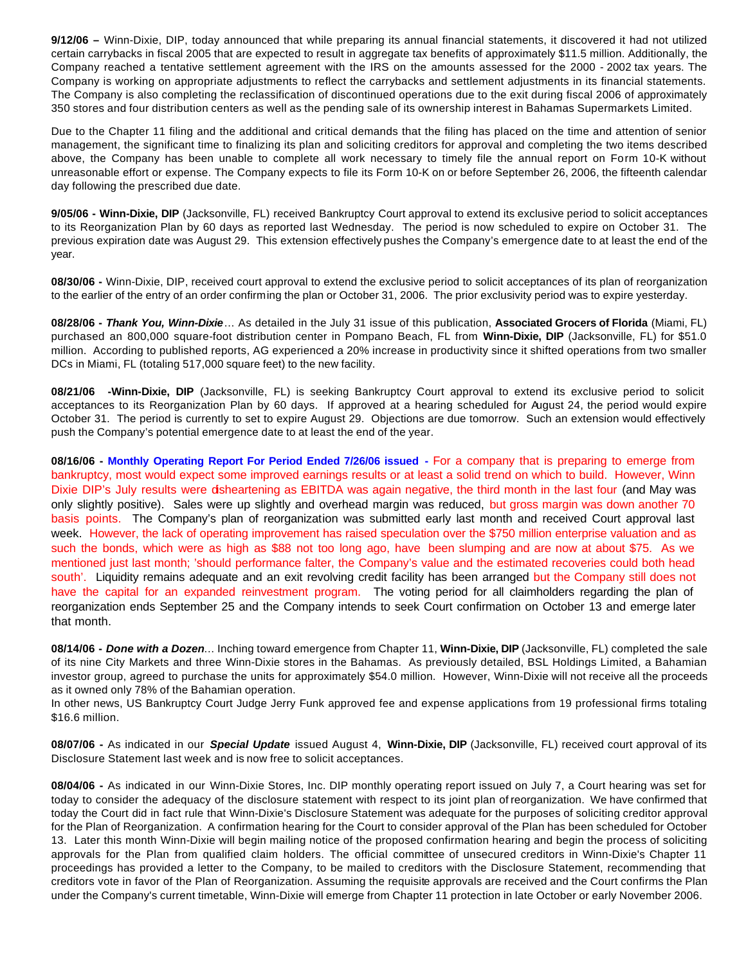**9/12/06 –** Winn-Dixie, DIP, today announced that while preparing its annual financial statements, it discovered it had not utilized certain carrybacks in fiscal 2005 that are expected to result in aggregate tax benefits of approximately \$11.5 million. Additionally, the Company reached a tentative settlement agreement with the IRS on the amounts assessed for the 2000 - 2002 tax years. The Company is working on appropriate adjustments to reflect the carrybacks and settlement adjustments in its financial statements. The Company is also completing the reclassification of discontinued operations due to the exit during fiscal 2006 of approximately 350 stores and four distribution centers as well as the pending sale of its ownership interest in Bahamas Supermarkets Limited.

Due to the Chapter 11 filing and the additional and critical demands that the filing has placed on the time and attention of senior management, the significant time to finalizing its plan and soliciting creditors for approval and completing the two items described above, the Company has been unable to complete all work necessary to timely file the annual report on Form 10-K without unreasonable effort or expense. The Company expects to file its Form 10-K on or before September 26, 2006, the fifteenth calendar day following the prescribed due date.

**9/05/06 - Winn-Dixie, DIP** (Jacksonville, FL) received Bankruptcy Court approval to extend its exclusive period to solicit acceptances to its Reorganization Plan by 60 days as reported last Wednesday. The period is now scheduled to expire on October 31. The previous expiration date was August 29. This extension effectively pushes the Company's emergence date to at least the end of the year.

**08/30/06 -** Winn-Dixie, DIP, received court approval to extend the exclusive period to solicit acceptances of its plan of reorganization to the earlier of the entry of an order confirming the plan or October 31, 2006. The prior exclusivity period was to expire yesterday.

**08/28/06 -** *Thank You, Winn-Dixie*… As detailed in the July 31 issue of this publication, **Associated Grocers of Florida** (Miami, FL) purchased an 800,000 square-foot distribution center in Pompano Beach, FL from **Winn-Dixie, DIP** (Jacksonville, FL) for \$51.0 million. According to published reports, AG experienced a 20% increase in productivity since it shifted operations from two smaller DCs in Miami, FL (totaling 517,000 square feet) to the new facility.

**08/21/06 -Winn-Dixie, DIP** (Jacksonville, FL) is seeking Bankruptcy Court approval to extend its exclusive period to solicit acceptances to its Reorganization Plan by 60 days. If approved at a hearing scheduled for August 24, the period would expire October 31. The period is currently to set to expire August 29. Objections are due tomorrow. Such an extension would effectively push the Company's potential emergence date to at least the end of the year.

**08/16/06 - Monthly Operating Report For Period Ended 7/26/06 issued -** For a company that is preparing to emerge from bankruptcy, most would expect some improved earnings results or at least a solid trend on which to build. However, Winn Dixie DIP's July results were disheartening as EBITDA was again negative, the third month in the last four (and May was only slightly positive). Sales were up slightly and overhead margin was reduced, but gross margin was down another 70 basis points. The Company's plan of reorganization was submitted early last month and received Court approval last week. However, the lack of operating improvement has raised speculation over the \$750 million enterprise valuation and as such the bonds, which were as high as \$88 not too long ago, have been slumping and are now at about \$75. As we mentioned just last month; 'should performance falter, the Company's value and the estimated recoveries could both head south'. Liquidity remains adequate and an exit revolving credit facility has been arranged but the Company still does not have the capital for an expanded reinvestment program. The voting period for all claimholders regarding the plan of reorganization ends September 25 and the Company intends to seek Court confirmation on October 13 and emerge later that month.

**08/14/06 -** *Done with a Dozen*… Inching toward emergence from Chapter 11, **Winn-Dixie, DIP** (Jacksonville, FL) completed the sale of its nine City Markets and three Winn-Dixie stores in the Bahamas. As previously detailed, BSL Holdings Limited, a Bahamian investor group, agreed to purchase the units for approximately \$54.0 million. However, Winn-Dixie will not receive all the proceeds as it owned only 78% of the Bahamian operation.

In other news, US Bankruptcy Court Judge Jerry Funk approved fee and expense applications from 19 professional firms totaling \$16.6 million.

**08/07/06 -** As indicated in our *Special Update* issued August 4, **Winn-Dixie, DIP** (Jacksonville, FL) received court approval of its Disclosure Statement last week and is now free to solicit acceptances.

**08/04/06 -** As indicated in our Winn-Dixie Stores, Inc. DIP monthly operating report issued on July 7, a Court hearing was set for today to consider the adequacy of the disclosure statement with respect to its joint plan of reorganization. We have confirmed that today the Court did in fact rule that Winn-Dixie's Disclosure Statement was adequate for the purposes of soliciting creditor approval for the Plan of Reorganization. A confirmation hearing for the Court to consider approval of the Plan has been scheduled for October 13. Later this month Winn-Dixie will begin mailing notice of the proposed confirmation hearing and begin the process of soliciting approvals for the Plan from qualified claim holders. The official committee of unsecured creditors in Winn-Dixie's Chapter 11 proceedings has provided a letter to the Company, to be mailed to creditors with the Disclosure Statement, recommending that creditors vote in favor of the Plan of Reorganization. Assuming the requisite approvals are received and the Court confirms the Plan under the Company's current timetable, Winn-Dixie will emerge from Chapter 11 protection in late October or early November 2006.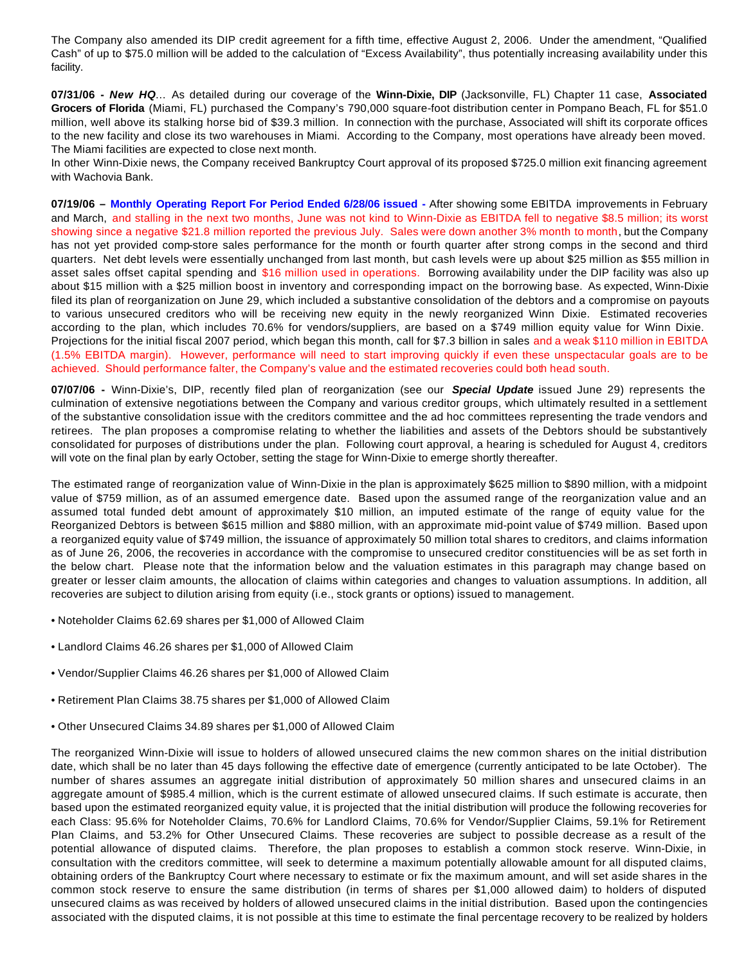The Company also amended its DIP credit agreement for a fifth time, effective August 2, 2006. Under the amendment, "Qualified Cash" of up to \$75.0 million will be added to the calculation of "Excess Availability", thus potentially increasing availability under this facility.

**07/31/06 -** *New HQ*… As detailed during our coverage of the **Winn-Dixie, DIP** (Jacksonville, FL) Chapter 11 case, **Associated Grocers of Florida** (Miami, FL) purchased the Company's 790,000 square-foot distribution center in Pompano Beach, FL for \$51.0 million, well above its stalking horse bid of \$39.3 million. In connection with the purchase, Associated will shift its corporate offices to the new facility and close its two warehouses in Miami. According to the Company, most operations have already been moved. The Miami facilities are expected to close next month.

In other Winn-Dixie news, the Company received Bankruptcy Court approval of its proposed \$725.0 million exit financing agreement with Wachovia Bank.

**07/19/06 – Monthly Operating Report For Period Ended 6/28/06 issued -** After showing some EBITDA improvements in February and March, and stalling in the next two months, June was not kind to Winn-Dixie as EBITDA fell to negative \$8.5 million; its worst showing since a negative \$21.8 million reported the previous July. Sales were down another 3% month to month, but the Company has not yet provided comp-store sales performance for the month or fourth quarter after strong comps in the second and third quarters. Net debt levels were essentially unchanged from last month, but cash levels were up about \$25 million as \$55 million in asset sales offset capital spending and \$16 million used in operations. Borrowing availability under the DIP facility was also up about \$15 million with a \$25 million boost in inventory and corresponding impact on the borrowing base. As expected, Winn-Dixie filed its plan of reorganization on June 29, which included a substantive consolidation of the debtors and a compromise on payouts to various unsecured creditors who will be receiving new equity in the newly reorganized Winn Dixie. Estimated recoveries according to the plan, which includes 70.6% for vendors/suppliers, are based on a \$749 million equity value for Winn Dixie. Projections for the initial fiscal 2007 period, which began this month, call for \$7.3 billion in sales and a weak \$110 million in EBITDA (1.5% EBITDA margin). However, performance will need to start improving quickly if even these unspectacular goals are to be achieved. Should performance falter, the Company's value and the estimated recoveries could both head south.

**07/07/06 -** Winn-Dixie's, DIP, recently filed plan of reorganization (see our *Special Update* issued June 29) represents the culmination of extensive negotiations between the Company and various creditor groups, which ultimately resulted in a settlement of the substantive consolidation issue with the creditors committee and the ad hoc committees representing the trade vendors and retirees. The plan proposes a compromise relating to whether the liabilities and assets of the Debtors should be substantively consolidated for purposes of distributions under the plan. Following court approval, a hearing is scheduled for August 4, creditors will vote on the final plan by early October, setting the stage for Winn-Dixie to emerge shortly thereafter.

The estimated range of reorganization value of Winn-Dixie in the plan is approximately \$625 million to \$890 million, with a midpoint value of \$759 million, as of an assumed emergence date. Based upon the assumed range of the reorganization value and an assumed total funded debt amount of approximately \$10 million, an imputed estimate of the range of equity value for the Reorganized Debtors is between \$615 million and \$880 million, with an approximate mid-point value of \$749 million. Based upon a reorganized equity value of \$749 million, the issuance of approximately 50 million total shares to creditors, and claims information as of June 26, 2006, the recoveries in accordance with the compromise to unsecured creditor constituencies will be as set forth in the below chart. Please note that the information below and the valuation estimates in this paragraph may change based on greater or lesser claim amounts, the allocation of claims within categories and changes to valuation assumptions. In addition, all recoveries are subject to dilution arising from equity (i.e., stock grants or options) issued to management.

- Noteholder Claims 62.69 shares per \$1,000 of Allowed Claim
- Landlord Claims 46.26 shares per \$1,000 of Allowed Claim
- Vendor/Supplier Claims 46.26 shares per \$1,000 of Allowed Claim
- Retirement Plan Claims 38.75 shares per \$1,000 of Allowed Claim
- Other Unsecured Claims 34.89 shares per \$1,000 of Allowed Claim

The reorganized Winn-Dixie will issue to holders of allowed unsecured claims the new common shares on the initial distribution date, which shall be no later than 45 days following the effective date of emergence (currently anticipated to be late October). The number of shares assumes an aggregate initial distribution of approximately 50 million shares and unsecured claims in an aggregate amount of \$985.4 million, which is the current estimate of allowed unsecured claims. If such estimate is accurate, then based upon the estimated reorganized equity value, it is projected that the initial distribution will produce the following recoveries for each Class: 95.6% for Noteholder Claims, 70.6% for Landlord Claims, 70.6% for Vendor/Supplier Claims, 59.1% for Retirement Plan Claims, and 53.2% for Other Unsecured Claims. These recoveries are subject to possible decrease as a result of the potential allowance of disputed claims. Therefore, the plan proposes to establish a common stock reserve. Winn-Dixie, in consultation with the creditors committee, will seek to determine a maximum potentially allowable amount for all disputed claims, obtaining orders of the Bankruptcy Court where necessary to estimate or fix the maximum amount, and will set aside shares in the common stock reserve to ensure the same distribution (in terms of shares per \$1,000 allowed daim) to holders of disputed unsecured claims as was received by holders of allowed unsecured claims in the initial distribution. Based upon the contingencies associated with the disputed claims, it is not possible at this time to estimate the final percentage recovery to be realized by holders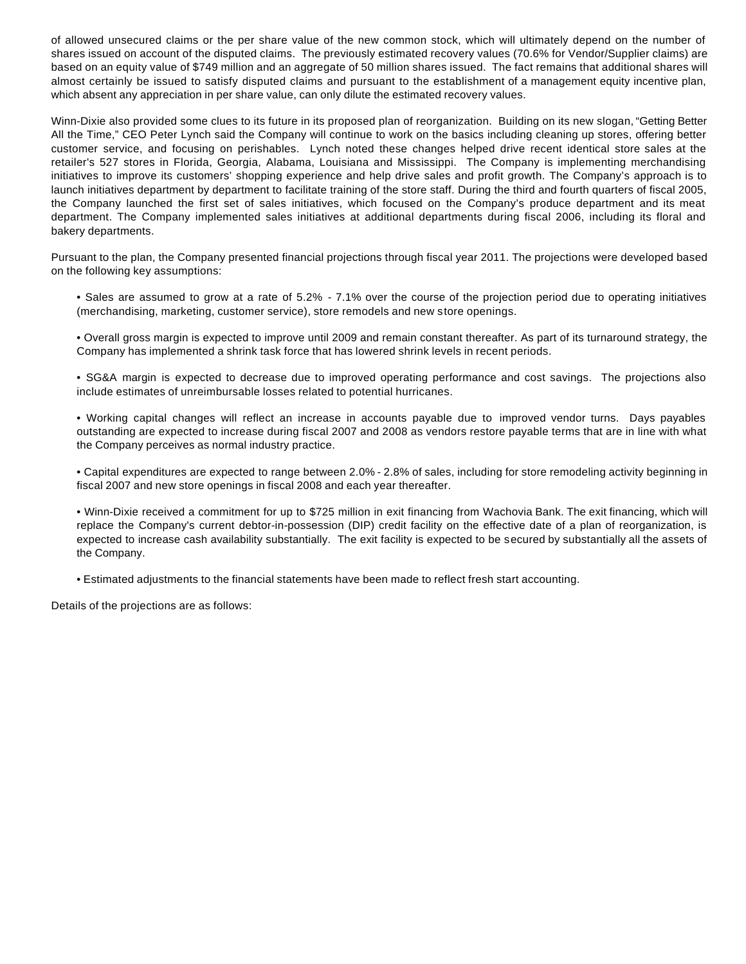of allowed unsecured claims or the per share value of the new common stock, which will ultimately depend on the number of shares issued on account of the disputed claims. The previously estimated recovery values (70.6% for Vendor/Supplier claims) are based on an equity value of \$749 million and an aggregate of 50 million shares issued. The fact remains that additional shares will almost certainly be issued to satisfy disputed claims and pursuant to the establishment of a management equity incentive plan, which absent any appreciation in per share value, can only dilute the estimated recovery values.

Winn-Dixie also provided some clues to its future in its proposed plan of reorganization. Building on its new slogan, "Getting Better All the Time," CEO Peter Lynch said the Company will continue to work on the basics including cleaning up stores, offering better customer service, and focusing on perishables. Lynch noted these changes helped drive recent identical store sales at the retailer's 527 stores in Florida, Georgia, Alabama, Louisiana and Mississippi. The Company is implementing merchandising initiatives to improve its customers' shopping experience and help drive sales and profit growth. The Company's approach is to launch initiatives department by department to facilitate training of the store staff. During the third and fourth quarters of fiscal 2005, the Company launched the first set of sales initiatives, which focused on the Company's produce department and its meat department. The Company implemented sales initiatives at additional departments during fiscal 2006, including its floral and bakery departments.

Pursuant to the plan, the Company presented financial projections through fiscal year 2011. The projections were developed based on the following key assumptions:

- Sales are assumed to grow at a rate of 5.2% 7.1% over the course of the projection period due to operating initiatives (merchandising, marketing, customer service), store remodels and new store openings.
- Overall gross margin is expected to improve until 2009 and remain constant thereafter. As part of its turnaround strategy, the Company has implemented a shrink task force that has lowered shrink levels in recent periods.
- SG&A margin is expected to decrease due to improved operating performance and cost savings. The projections also include estimates of unreimbursable losses related to potential hurricanes.
- Working capital changes will reflect an increase in accounts payable due to improved vendor turns. Days payables outstanding are expected to increase during fiscal 2007 and 2008 as vendors restore payable terms that are in line with what the Company perceives as normal industry practice.
- Capital expenditures are expected to range between 2.0% 2.8% of sales, including for store remodeling activity beginning in fiscal 2007 and new store openings in fiscal 2008 and each year thereafter.
- Winn-Dixie received a commitment for up to \$725 million in exit financing from Wachovia Bank. The exit financing, which will replace the Company's current debtor-in-possession (DIP) credit facility on the effective date of a plan of reorganization, is expected to increase cash availability substantially. The exit facility is expected to be secured by substantially all the assets of the Company.
- Estimated adjustments to the financial statements have been made to reflect fresh start accounting.

Details of the projections are as follows: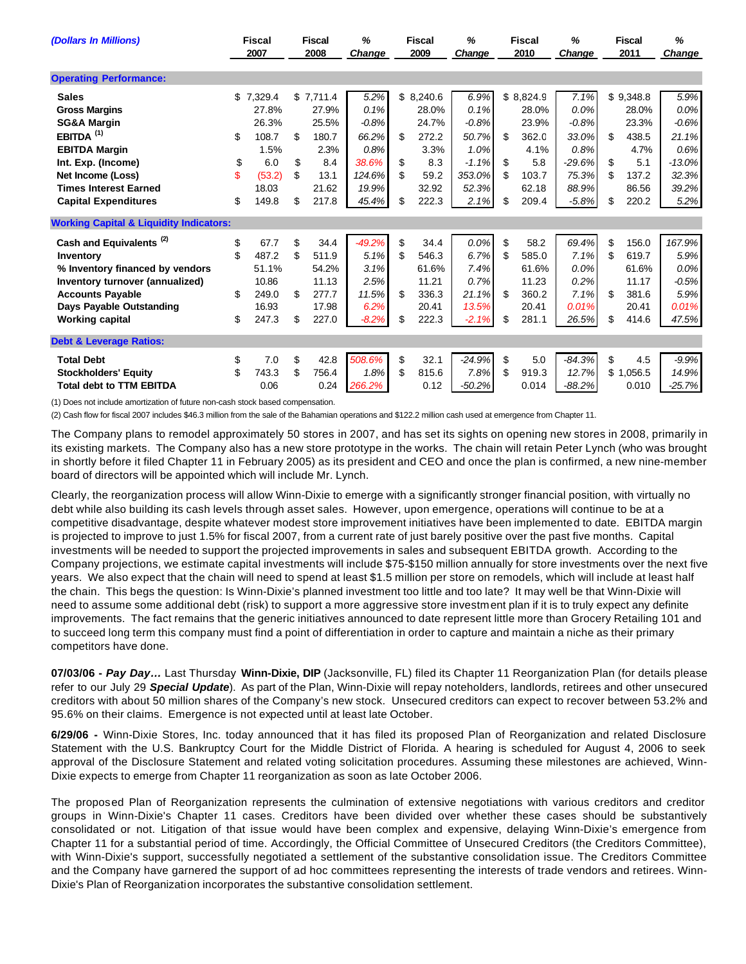| (Dollars In Millions)                              |     | <b>Fiscal</b><br>2007 |    | <b>Fiscal</b><br>2008 | %<br><b>Fiscal</b><br>2009<br>Change |    |           | ℅<br><b>Fiscal</b><br>Change<br>2010 |    | %<br><b>Fiscal</b><br>2011<br>Change |          |    | %<br>Change |          |
|----------------------------------------------------|-----|-----------------------|----|-----------------------|--------------------------------------|----|-----------|--------------------------------------|----|--------------------------------------|----------|----|-------------|----------|
| <b>Operating Performance:</b>                      |     |                       |    |                       |                                      |    |           |                                      |    |                                      |          |    |             |          |
| <b>Sales</b>                                       | \$  | 7.329.4               |    | \$7,711.4             | 5.2%                                 |    | \$8,240.6 | 6.9%                                 |    | \$8,824.9                            | 7.1%     |    | \$9,348.8   | 5.9%     |
| <b>Gross Margins</b>                               |     | 27.8%                 |    | 27.9%                 | 0.1%                                 |    | 28.0%     | 0.1%                                 |    | 28.0%                                | 0.0%     |    | 28.0%       | 0.0%     |
| <b>SG&amp;A Margin</b>                             |     | 26.3%                 |    | 25.5%                 | $-0.8%$                              |    | 24.7%     | $-0.8%$                              |    | 23.9%                                | $-0.8%$  |    | 23.3%       | $-0.6%$  |
| EBITDA <sup>(1)</sup>                              | \$  | 108.7                 | \$ | 180.7                 | 66.2%                                | \$ | 272.2     | 50.7%                                | \$ | 362.C                                | 33.0%    | \$ | 438.5       | 21.1%    |
| <b>EBITDA Margin</b>                               |     | 1.5%                  |    | 2.3%                  | 0.8%                                 |    | 3.3%      | 1.0%                                 |    | 4.1%                                 | 0.8%     |    | 4.7%        | 0.6%     |
| Int. Exp. (Income)                                 | \$  | 6.0                   | \$ | 8.4                   | 38.6%                                | \$ | 8.3       | $-1.1%$                              | \$ | 5.8                                  | $-29.6%$ | \$ | 5.1         | $-13.0%$ |
| Net Income (Loss)                                  | \$. | (53.2)                | \$ | 13.1                  | 124.6%                               | \$ | 59.2      | 353.0%                               | \$ | 103.7                                | 75.3%    | \$ | 137.2       | 32.3%    |
| <b>Times Interest Earned</b>                       |     | 18.03                 |    | 21.62                 | 19.9%                                |    | 32.92     | 52.3%                                |    | 62.18                                | 88.9%    |    | 86.56       | 39.2%    |
| <b>Capital Expenditures</b>                        | \$  | 149.8                 | \$ | 217.8                 | 45.4%                                | \$ | 222.3     | 2.1%                                 | \$ | 209.4                                | $-5.8%$  | \$ | 220.2       | 5.2%     |
| <b>Working Capital &amp; Liquidity Indicators:</b> |     |                       |    |                       |                                      |    |           |                                      |    |                                      |          |    |             |          |
| Cash and Equivalents <sup>(2)</sup>                | \$  | 67.7                  | \$ | 34.4                  | $-49.2%$                             | \$ | 34.4      | $0.0\%$                              | \$ | 58.2                                 | 69.4%    | \$ | 156.0       | 167.9%   |
| Inventory                                          | \$  | 487.2                 | \$ | 511.9                 | 5.1%                                 | \$ | 546.3     | 6.7%                                 | \$ | 585.0                                | 7.1%     | \$ | 619.7       | 5.9%     |
| % Inventory financed by vendors                    |     | 51.1%                 |    | 54.2%                 | 3.1%                                 |    | 61.6%     | 7.4%                                 |    | 61.6%                                | $0.0\%$  |    | 61.6%       | $0.0\%$  |
| Inventory turnover (annualized)                    |     | 10.86                 |    | 11.13                 | 2.5%                                 |    | 11.21     | 0.7%                                 |    | 11.23                                | 0.2%     |    | 11.17       | $-0.5%$  |
| <b>Accounts Payable</b>                            | \$  | 249.0                 | \$ | 277.7                 | 11.5%                                | \$ | 336.3     | 21.1%                                | \$ | 360.2                                | 7.1%     | \$ | 381.6       | 5.9%     |
| <b>Days Payable Outstanding</b>                    |     | 16.93                 |    | 17.98                 | 6.2%                                 |    | 20.41     | 13.5%                                |    | 20.41                                | 0.01%    |    | 20.41       | 0.01%    |
| <b>Working capital</b>                             | \$  | 247.3                 | \$ | 227.0                 | $-8.2%$                              | \$ | 222.3     | $-2.1%$                              | \$ | 281.1                                | 26.5%    | \$ | 414.6       | 47.5%    |
| <b>Debt &amp; Leverage Ratios:</b>                 |     |                       |    |                       |                                      |    |           |                                      |    |                                      |          |    |             |          |
| <b>Total Debt</b>                                  | \$  | 7.0                   | \$ | 42.8                  | 508.6%                               | \$ | 32.1      | $-24.9%$                             | \$ | 5.0                                  | $-84.3%$ | \$ | 4.5         | $-9.9%$  |
| <b>Stockholders' Equity</b>                        | \$  | 743.3                 | \$ | 756.4                 | 1.8%                                 | \$ | 815.6     | 7.8%                                 | \$ | 919.3                                | 12.7%    |    | \$1,056.5   | 14.9%    |
| <b>Total debt to TTM EBITDA</b>                    |     | 0.06                  |    | 0.24                  | 266.2%                               |    | 0.12      | $-50.2%$                             |    | 0.014                                | $-88.2%$ |    | 0.010       | $-25.7%$ |

(1) Does not include amortization of future non-cash stock based compensation.

(2) Cash flow for fiscal 2007 includes \$46.3 million from the sale of the Bahamian operations and \$122.2 million cash used at emergence from Chapter 11.

The Company plans to remodel approximately 50 stores in 2007, and has set its sights on opening new stores in 2008, primarily in its existing markets. The Company also has a new store prototype in the works. The chain will retain Peter Lynch (who was brought in shortly before it filed Chapter 11 in February 2005) as its president and CEO and once the plan is confirmed, a new nine-member board of directors will be appointed which will include Mr. Lynch.

Clearly, the reorganization process will allow Winn-Dixie to emerge with a significantly stronger financial position, with virtually no debt while also building its cash levels through asset sales. However, upon emergence, operations will continue to be at a competitive disadvantage, despite whatever modest store improvement initiatives have been implemented to date. EBITDA margin is projected to improve to just 1.5% for fiscal 2007, from a current rate of just barely positive over the past five months. Capital investments will be needed to support the projected improvements in sales and subsequent EBITDA growth. According to the Company projections, we estimate capital investments will include \$75-\$150 million annually for store investments over the next five years. We also expect that the chain will need to spend at least \$1.5 million per store on remodels, which will include at least half the chain. This begs the question: Is Winn-Dixie's planned investment too little and too late? It may well be that Winn-Dixie will need to assume some additional debt (risk) to support a more aggressive store investment plan if it is to truly expect any definite improvements. The fact remains that the generic initiatives announced to date represent little more than Grocery Retailing 101 and to succeed long term this company must find a point of differentiation in order to capture and maintain a niche as their primary competitors have done.

**07/03/06 -** *Pay Day…* Last Thursday **Winn-Dixie, DIP** (Jacksonville, FL) filed its Chapter 11 Reorganization Plan (for details please refer to our July 29 *Special Update*). As part of the Plan, Winn-Dixie will repay noteholders, landlords, retirees and other unsecured creditors with about 50 million shares of the Company's new stock. Unsecured creditors can expect to recover between 53.2% and 95.6% on their claims. Emergence is not expected until at least late October.

**6/29/06 -** Winn-Dixie Stores, Inc. today announced that it has filed its proposed Plan of Reorganization and related Disclosure Statement with the U.S. Bankruptcy Court for the Middle District of Florida. A hearing is scheduled for August 4, 2006 to seek approval of the Disclosure Statement and related voting solicitation procedures. Assuming these milestones are achieved, Winn-Dixie expects to emerge from Chapter 11 reorganization as soon as late October 2006.

The proposed Plan of Reorganization represents the culmination of extensive negotiations with various creditors and creditor groups in Winn-Dixie's Chapter 11 cases. Creditors have been divided over whether these cases should be substantively consolidated or not. Litigation of that issue would have been complex and expensive, delaying Winn-Dixie's emergence from Chapter 11 for a substantial period of time. Accordingly, the Official Committee of Unsecured Creditors (the Creditors Committee), with Winn-Dixie's support, successfully negotiated a settlement of the substantive consolidation issue. The Creditors Committee and the Company have garnered the support of ad hoc committees representing the interests of trade vendors and retirees. Winn-Dixie's Plan of Reorganization incorporates the substantive consolidation settlement.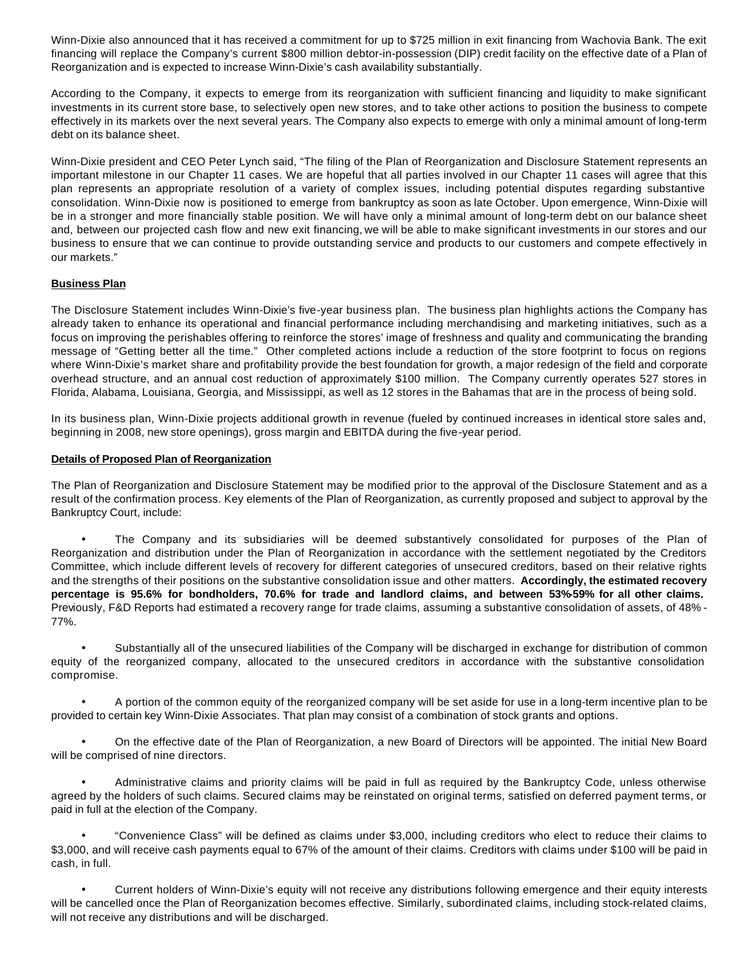Winn-Dixie also announced that it has received a commitment for up to \$725 million in exit financing from Wachovia Bank. The exit financing will replace the Company's current \$800 million debtor-in-possession (DIP) credit facility on the effective date of a Plan of Reorganization and is expected to increase Winn-Dixie's cash availability substantially.

According to the Company, it expects to emerge from its reorganization with sufficient financing and liquidity to make significant investments in its current store base, to selectively open new stores, and to take other actions to position the business to compete effectively in its markets over the next several years. The Company also expects to emerge with only a minimal amount of long-term debt on its balance sheet.

Winn-Dixie president and CEO Peter Lynch said, "The filing of the Plan of Reorganization and Disclosure Statement represents an important milestone in our Chapter 11 cases. We are hopeful that all parties involved in our Chapter 11 cases will agree that this plan represents an appropriate resolution of a variety of complex issues, including potential disputes regarding substantive consolidation. Winn-Dixie now is positioned to emerge from bankruptcy as soon as late October. Upon emergence, Winn-Dixie will be in a stronger and more financially stable position. We will have only a minimal amount of long-term debt on our balance sheet and, between our projected cash flow and new exit financing, we will be able to make significant investments in our stores and our business to ensure that we can continue to provide outstanding service and products to our customers and compete effectively in our markets."

## **Business Plan**

The Disclosure Statement includes Winn-Dixie's five-year business plan. The business plan highlights actions the Company has already taken to enhance its operational and financial performance including merchandising and marketing initiatives, such as a focus on improving the perishables offering to reinforce the stores' image of freshness and quality and communicating the branding message of "Getting better all the time." Other completed actions include a reduction of the store footprint to focus on regions where Winn-Dixie's market share and profitability provide the best foundation for growth, a major redesign of the field and corporate overhead structure, and an annual cost reduction of approximately \$100 million. The Company currently operates 527 stores in Florida, Alabama, Louisiana, Georgia, and Mississippi, as well as 12 stores in the Bahamas that are in the process of being sold.

In its business plan, Winn-Dixie projects additional growth in revenue (fueled by continued increases in identical store sales and, beginning in 2008, new store openings), gross margin and EBITDA during the five-year period.

#### **Details of Proposed Plan of Reorganization**

The Plan of Reorganization and Disclosure Statement may be modified prior to the approval of the Disclosure Statement and as a result of the confirmation process. Key elements of the Plan of Reorganization, as currently proposed and subject to approval by the Bankruptcy Court, include:

• The Company and its subsidiaries will be deemed substantively consolidated for purposes of the Plan of Reorganization and distribution under the Plan of Reorganization in accordance with the settlement negotiated by the Creditors Committee, which include different levels of recovery for different categories of unsecured creditors, based on their relative rights and the strengths of their positions on the substantive consolidation issue and other matters. **Accordingly, the estimated recovery percentage is 95.6% for bondholders, 70.6% for trade and landlord claims, and between 53%-59% for all other claims.**  Previously, F&D Reports had estimated a recovery range for trade claims, assuming a substantive consolidation of assets, of 48% - 77%.

Substantially all of the unsecured liabilities of the Company will be discharged in exchange for distribution of common equity of the reorganized company, allocated to the unsecured creditors in accordance with the substantive consolidation compromise.

• A portion of the common equity of the reorganized company will be set aside for use in a long-term incentive plan to be provided to certain key Winn-Dixie Associates. That plan may consist of a combination of stock grants and options.

• On the effective date of the Plan of Reorganization, a new Board of Directors will be appointed. The initial New Board will be comprised of nine directors.

• Administrative claims and priority claims will be paid in full as required by the Bankruptcy Code, unless otherwise agreed by the holders of such claims. Secured claims may be reinstated on original terms, satisfied on deferred payment terms, or paid in full at the election of the Company.

• "Convenience Class" will be defined as claims under \$3,000, including creditors who elect to reduce their claims to \$3,000, and will receive cash payments equal to 67% of the amount of their claims. Creditors with claims under \$100 will be paid in cash, in full.

• Current holders of Winn-Dixie's equity will not receive any distributions following emergence and their equity interests will be cancelled once the Plan of Reorganization becomes effective. Similarly, subordinated claims, including stock-related claims, will not receive any distributions and will be discharged.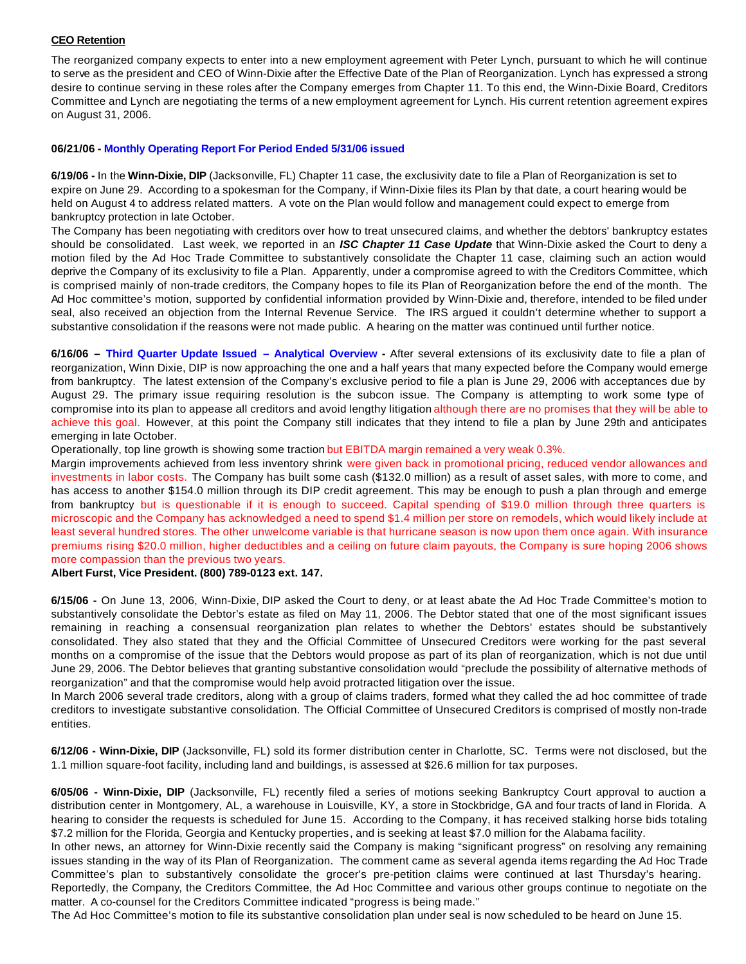### **CEO Retention**

The reorganized company expects to enter into a new employment agreement with Peter Lynch, pursuant to which he will continue to serve as the president and CEO of Winn-Dixie after the Effective Date of the Plan of Reorganization. Lynch has expressed a strong desire to continue serving in these roles after the Company emerges from Chapter 11. To this end, the Winn-Dixie Board, Creditors Committee and Lynch are negotiating the terms of a new employment agreement for Lynch. His current retention agreement expires on August 31, 2006.

#### **06/21/06 - Monthly Operating Report For Period Ended 5/31/06 issued**

**6/19/06 -** In the **Winn-Dixie, DIP** (Jacksonville, FL) Chapter 11 case, the exclusivity date to file a Plan of Reorganization is set to expire on June 29. According to a spokesman for the Company, if Winn-Dixie files its Plan by that date, a court hearing would be held on August 4 to address related matters. A vote on the Plan would follow and management could expect to emerge from bankruptcy protection in late October.

The Company has been negotiating with creditors over how to treat unsecured claims, and whether the debtors' bankruptcy estates should be consolidated. Last week, we reported in an *ISC Chapter 11 Case Update* that Winn-Dixie asked the Court to deny a motion filed by the Ad Hoc Trade Committee to substantively consolidate the Chapter 11 case, claiming such an action would deprive the Company of its exclusivity to file a Plan. Apparently, under a compromise agreed to with the Creditors Committee, which is comprised mainly of non-trade creditors, the Company hopes to file its Plan of Reorganization before the end of the month. The Ad Hoc committee's motion, supported by confidential information provided by Winn-Dixie and, therefore, intended to be filed under seal, also received an objection from the Internal Revenue Service. The IRS argued it couldn't determine whether to support a substantive consolidation if the reasons were not made public. A hearing on the matter was continued until further notice.

**6/16/06 – Third Quarter Update Issued – Analytical Overview -** After several extensions of its exclusivity date to file a plan of reorganization, Winn Dixie, DIP is now approaching the one and a half years that many expected before the Company would emerge from bankruptcy. The latest extension of the Company's exclusive period to file a plan is June 29, 2006 with acceptances due by August 29. The primary issue requiring resolution is the subcon issue. The Company is attempting to work some type of compromise into its plan to appease all creditors and avoid lengthy litigation although there are no promises that they will be able to achieve this goal. However, at this point the Company still indicates that they intend to file a plan by June 29th and anticipates emerging in late October.

Operationally, top line growth is showing some traction but EBITDA margin remained a very weak 0.3%.

Margin improvements achieved from less inventory shrink were given back in promotional pricing, reduced vendor allowances and investments in labor costs. The Company has built some cash (\$132.0 million) as a result of asset sales, with more to come, and has access to another \$154.0 million through its DIP credit agreement. This may be enough to push a plan through and emerge from bankruptcy but is questionable if it is enough to succeed. Capital spending of \$19.0 million through three quarters is microscopic and the Company has acknowledged a need to spend \$1.4 million per store on remodels, which would likely include at least several hundred stores. The other unwelcome variable is that hurricane season is now upon them once again. With insurance premiums rising \$20.0 million, higher deductibles and a ceiling on future claim payouts, the Company is sure hoping 2006 shows more compassion than the previous two years.

#### **Albert Furst, Vice President. (800) 789-0123 ext. 147.**

**6/15/06 -** On June 13, 2006, Winn-Dixie, DIP asked the Court to deny, or at least abate the Ad Hoc Trade Committee's motion to substantively consolidate the Debtor's estate as filed on May 11, 2006. The Debtor stated that one of the most significant issues remaining in reaching a consensual reorganization plan relates to whether the Debtors' estates should be substantively consolidated. They also stated that they and the Official Committee of Unsecured Creditors were working for the past several months on a compromise of the issue that the Debtors would propose as part of its plan of reorganization, which is not due until June 29, 2006. The Debtor believes that granting substantive consolidation would "preclude the possibility of alternative methods of reorganization" and that the compromise would help avoid protracted litigation over the issue.

In March 2006 several trade creditors, along with a group of claims traders, formed what they called the ad hoc committee of trade creditors to investigate substantive consolidation. The Official Committee of Unsecured Creditors is comprised of mostly non-trade entities.

**6/12/06 - Winn-Dixie, DIP** (Jacksonville, FL) sold its former distribution center in Charlotte, SC. Terms were not disclosed, but the 1.1 million square-foot facility, including land and buildings, is assessed at \$26.6 million for tax purposes.

**6/05/06 - Winn-Dixie, DIP** (Jacksonville, FL) recently filed a series of motions seeking Bankruptcy Court approval to auction a distribution center in Montgomery, AL, a warehouse in Louisville, KY, a store in Stockbridge, GA and four tracts of land in Florida. A hearing to consider the requests is scheduled for June 15. According to the Company, it has received stalking horse bids totaling \$7.2 million for the Florida, Georgia and Kentucky properties, and is seeking at least \$7.0 million for the Alabama facility.

In other news, an attorney for Winn-Dixie recently said the Company is making "significant progress" on resolving any remaining issues standing in the way of its Plan of Reorganization. The comment came as several agenda items regarding the Ad Hoc Trade Committee's plan to substantively consolidate the grocer's pre-petition claims were continued at last Thursday's hearing.

Reportedly, the Company, the Creditors Committee, the Ad Hoc Committee and various other groups continue to negotiate on the matter. A co-counsel for the Creditors Committee indicated "progress is being made."

The Ad Hoc Committee's motion to file its substantive consolidation plan under seal is now scheduled to be heard on June 15.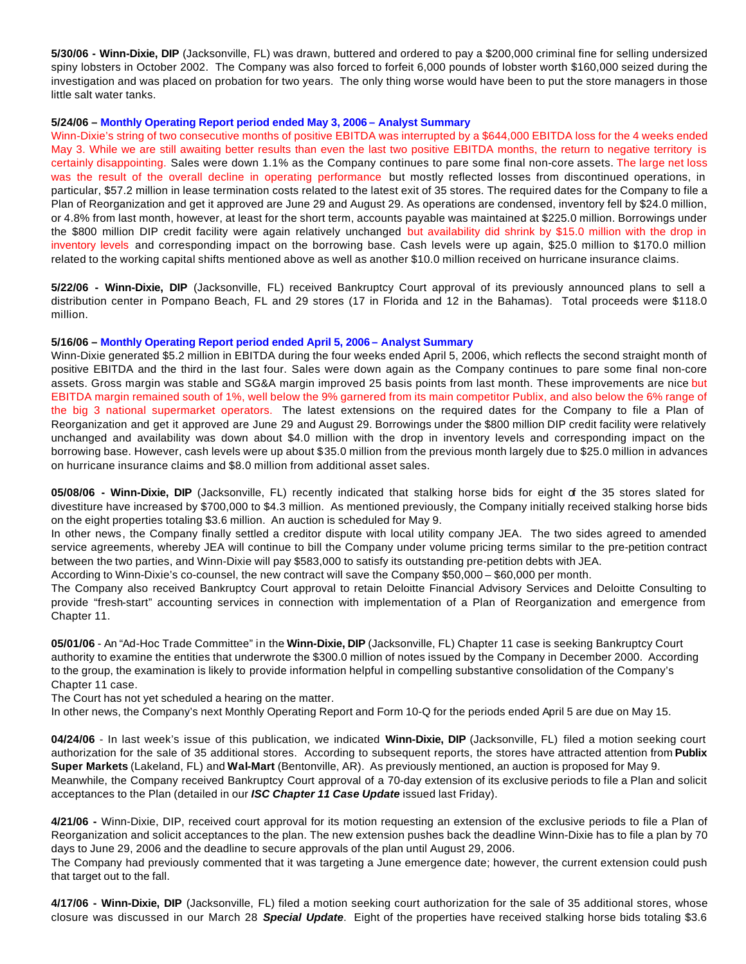**5/30/06 - Winn-Dixie, DIP** (Jacksonville, FL) was drawn, buttered and ordered to pay a \$200,000 criminal fine for selling undersized spiny lobsters in October 2002. The Company was also forced to forfeit 6,000 pounds of lobster worth \$160,000 seized during the investigation and was placed on probation for two years. The only thing worse would have been to put the store managers in those little salt water tanks.

#### **5/24/06 – Monthly Operating Report period ended May 3, 2006 – Analyst Summary**

Winn-Dixie's string of two consecutive months of positive EBITDA was interrupted by a \$644,000 EBITDA loss for the 4 weeks ended May 3. While we are still awaiting better results than even the last two positive EBITDA months, the return to negative territory is certainly disappointing. Sales were down 1.1% as the Company continues to pare some final non-core assets. The large net loss was the result of the overall decline in operating performance but mostly reflected losses from discontinued operations, in particular, \$57.2 million in lease termination costs related to the latest exit of 35 stores. The required dates for the Company to file a Plan of Reorganization and get it approved are June 29 and August 29. As operations are condensed, inventory fell by \$24.0 million, or 4.8% from last month, however, at least for the short term, accounts payable was maintained at \$225.0 million. Borrowings under the \$800 million DIP credit facility were again relatively unchanged but availability did shrink by \$15.0 million with the drop in inventory levels and corresponding impact on the borrowing base. Cash levels were up again, \$25.0 million to \$170.0 million related to the working capital shifts mentioned above as well as another \$10.0 million received on hurricane insurance claims.

**5/22/06 - Winn-Dixie, DIP** (Jacksonville, FL) received Bankruptcy Court approval of its previously announced plans to sell a distribution center in Pompano Beach, FL and 29 stores (17 in Florida and 12 in the Bahamas). Total proceeds were \$118.0 million.

#### **5/16/06 – Monthly Operating Report period ended April 5, 2006 – Analyst Summary**

Winn-Dixie generated \$5.2 million in EBITDA during the four weeks ended April 5, 2006, which reflects the second straight month of positive EBITDA and the third in the last four. Sales were down again as the Company continues to pare some final non-core assets. Gross margin was stable and SG&A margin improved 25 basis points from last month. These improvements are nice but EBITDA margin remained south of 1%, well below the 9% garnered from its main competitor Publix, and also below the 6% range of the big 3 national supermarket operators. The latest extensions on the required dates for the Company to file a Plan of Reorganization and get it approved are June 29 and August 29. Borrowings under the \$800 million DIP credit facility were relatively unchanged and availability was down about \$4.0 million with the drop in inventory levels and corresponding impact on the borrowing base. However, cash levels were up about \$35.0 million from the previous month largely due to \$25.0 million in advances on hurricane insurance claims and \$8.0 million from additional asset sales.

**05/08/06 - Winn-Dixie, DIP** (Jacksonville, FL) recently indicated that stalking horse bids for eight of the 35 stores slated for divestiture have increased by \$700,000 to \$4.3 million. As mentioned previously, the Company initially received stalking horse bids on the eight properties totaling \$3.6 million. An auction is scheduled for May 9.

In other news, the Company finally settled a creditor dispute with local utility company JEA. The two sides agreed to amended service agreements, whereby JEA will continue to bill the Company under volume pricing terms similar to the pre-petition contract between the two parties, and Winn-Dixie will pay \$583,000 to satisfy its outstanding pre-petition debts with JEA.

According to Winn-Dixie's co-counsel, the new contract will save the Company \$50,000 – \$60,000 per month.

The Company also received Bankruptcy Court approval to retain Deloitte Financial Advisory Services and Deloitte Consulting to provide "fresh-start" accounting services in connection with implementation of a Plan of Reorganization and emergence from Chapter 11.

**05/01/06** - An "Ad-Hoc Trade Committee" in the **Winn-Dixie, DIP** (Jacksonville, FL) Chapter 11 case is seeking Bankruptcy Court authority to examine the entities that underwrote the \$300.0 million of notes issued by the Company in December 2000. According to the group, the examination is likely to provide information helpful in compelling substantive consolidation of the Company's Chapter 11 case.

The Court has not yet scheduled a hearing on the matter.

In other news, the Company's next Monthly Operating Report and Form 10-Q for the periods ended April 5 are due on May 15.

**04/24/06** - In last week's issue of this publication, we indicated **Winn-Dixie, DIP** (Jacksonville, FL) filed a motion seeking court authorization for the sale of 35 additional stores. According to subsequent reports, the stores have attracted attention from **Publix Super Markets** (Lakeland, FL) and **Wal-Mart** (Bentonville, AR). As previously mentioned, an auction is proposed for May 9. Meanwhile, the Company received Bankruptcy Court approval of a 70-day extension of its exclusive periods to file a Plan and solicit acceptances to the Plan (detailed in our *ISC Chapter 11 Case Update* issued last Friday).

**4/21/06 -** Winn-Dixie, DIP, received court approval for its motion requesting an extension of the exclusive periods to file a Plan of Reorganization and solicit acceptances to the plan. The new extension pushes back the deadline Winn-Dixie has to file a plan by 70 days to June 29, 2006 and the deadline to secure approvals of the plan until August 29, 2006.

The Company had previously commented that it was targeting a June emergence date; however, the current extension could push that target out to the fall.

**4/17/06 - Winn-Dixie, DIP** (Jacksonville, FL) filed a motion seeking court authorization for the sale of 35 additional stores, whose closure was discussed in our March 28 *Special Update*. Eight of the properties have received stalking horse bids totaling \$3.6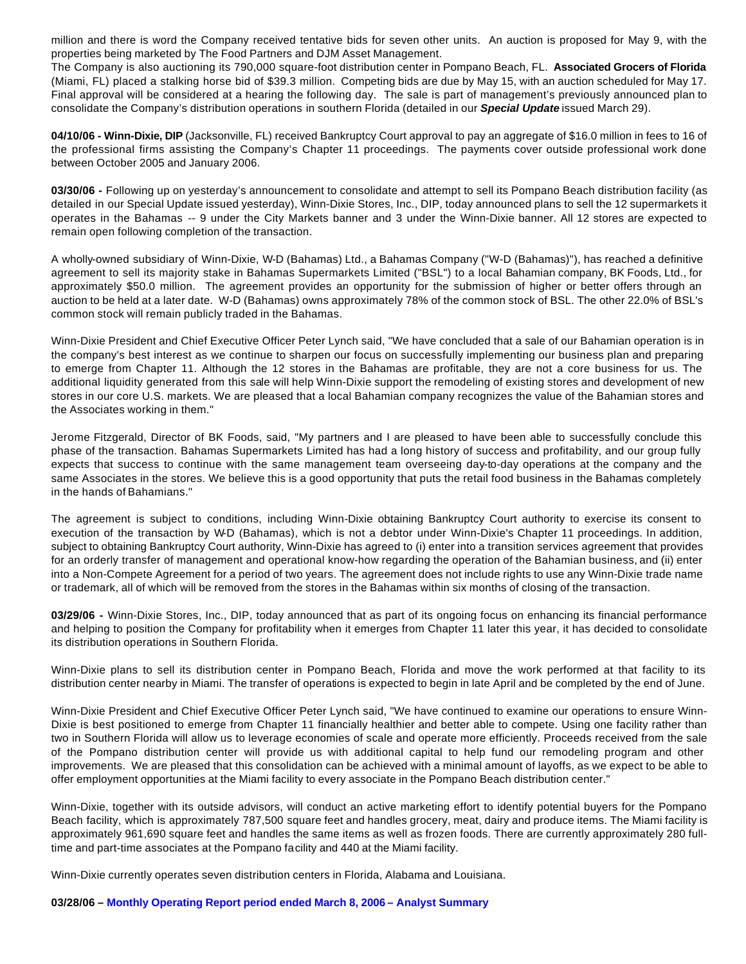million and there is word the Company received tentative bids for seven other units. An auction is proposed for May 9, with the properties being marketed by The Food Partners and DJM Asset Management.

The Company is also auctioning its 790,000 square-foot distribution center in Pompano Beach, FL. **Associated Grocers of Florida** (Miami, FL) placed a stalking horse bid of \$39.3 million. Competing bids are due by May 15, with an auction scheduled for May 17. Final approval will be considered at a hearing the following day. The sale is part of management's previously announced plan to consolidate the Company's distribution operations in southern Florida (detailed in our *Special Update* issued March 29).

**04/10/06 - Winn-Dixie, DIP** (Jacksonville, FL) received Bankruptcy Court approval to pay an aggregate of \$16.0 million in fees to 16 of the professional firms assisting the Company's Chapter 11 proceedings. The payments cover outside professional work done between October 2005 and January 2006.

**03/30/06 -** Following up on yesterday's announcement to consolidate and attempt to sell its Pompano Beach distribution facility (as detailed in our Special Update issued yesterday), Winn-Dixie Stores, Inc., DIP, today announced plans to sell the 12 supermarkets it operates in the Bahamas -- 9 under the City Markets banner and 3 under the Winn-Dixie banner. All 12 stores are expected to remain open following completion of the transaction.

A wholly-owned subsidiary of Winn-Dixie, W-D (Bahamas) Ltd., a Bahamas Company ("W-D (Bahamas)"), has reached a definitive agreement to sell its majority stake in Bahamas Supermarkets Limited ("BSL") to a local Bahamian company, BK Foods, Ltd., for approximately \$50.0 million. The agreement provides an opportunity for the submission of higher or better offers through an auction to be held at a later date. W-D (Bahamas) owns approximately 78% of the common stock of BSL. The other 22.0% of BSL's common stock will remain publicly traded in the Bahamas.

Winn-Dixie President and Chief Executive Officer Peter Lynch said, "We have concluded that a sale of our Bahamian operation is in the company's best interest as we continue to sharpen our focus on successfully implementing our business plan and preparing to emerge from Chapter 11. Although the 12 stores in the Bahamas are profitable, they are not a core business for us. The additional liquidity generated from this sale will help Winn-Dixie support the remodeling of existing stores and development of new stores in our core U.S. markets. We are pleased that a local Bahamian company recognizes the value of the Bahamian stores and the Associates working in them."

Jerome Fitzgerald, Director of BK Foods, said, "My partners and I are pleased to have been able to successfully conclude this phase of the transaction. Bahamas Supermarkets Limited has had a long history of success and profitability, and our group fully expects that success to continue with the same management team overseeing day-to-day operations at the company and the same Associates in the stores. We believe this is a good opportunity that puts the retail food business in the Bahamas completely in the hands of Bahamians."

The agreement is subject to conditions, including Winn-Dixie obtaining Bankruptcy Court authority to exercise its consent to execution of the transaction by W-D (Bahamas), which is not a debtor under Winn-Dixie's Chapter 11 proceedings. In addition, subject to obtaining Bankruptcy Court authority, Winn-Dixie has agreed to (i) enter into a transition services agreement that provides for an orderly transfer of management and operational know-how regarding the operation of the Bahamian business, and (ii) enter into a Non-Compete Agreement for a period of two years. The agreement does not include rights to use any Winn-Dixie trade name or trademark, all of which will be removed from the stores in the Bahamas within six months of closing of the transaction.

**03/29/06 -** Winn-Dixie Stores, Inc., DIP, today announced that as part of its ongoing focus on enhancing its financial performance and helping to position the Company for profitability when it emerges from Chapter 11 later this year, it has decided to consolidate its distribution operations in Southern Florida.

Winn-Dixie plans to sell its distribution center in Pompano Beach, Florida and move the work performed at that facility to its distribution center nearby in Miami. The transfer of operations is expected to begin in late April and be completed by the end of June.

Winn-Dixie President and Chief Executive Officer Peter Lynch said, "We have continued to examine our operations to ensure Winn-Dixie is best positioned to emerge from Chapter 11 financially healthier and better able to compete. Using one facility rather than two in Southern Florida will allow us to leverage economies of scale and operate more efficiently. Proceeds received from the sale of the Pompano distribution center will provide us with additional capital to help fund our remodeling program and other improvements. We are pleased that this consolidation can be achieved with a minimal amount of layoffs, as we expect to be able to offer employment opportunities at the Miami facility to every associate in the Pompano Beach distribution center."

Winn-Dixie, together with its outside advisors, will conduct an active marketing effort to identify potential buyers for the Pompano Beach facility, which is approximately 787,500 square feet and handles grocery, meat, dairy and produce items. The Miami facility is approximately 961,690 square feet and handles the same items as well as frozen foods. There are currently approximately 280 fulltime and part-time associates at the Pompano facility and 440 at the Miami facility.

Winn-Dixie currently operates seven distribution centers in Florida, Alabama and Louisiana.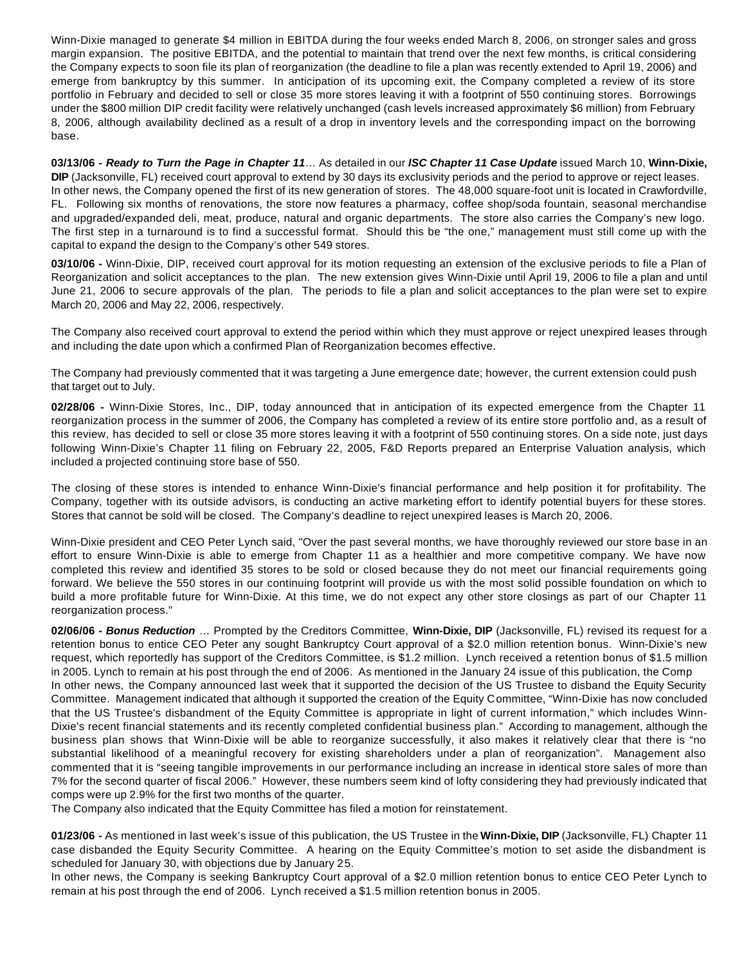Winn-Dixie managed to generate \$4 million in EBITDA during the four weeks ended March 8, 2006, on stronger sales and gross margin expansion. The positive EBITDA, and the potential to maintain that trend over the next few months, is critical considering the Company expects to soon file its plan of reorganization (the deadline to file a plan was recently extended to April 19, 2006) and emerge from bankruptcy by this summer. In anticipation of its upcoming exit, the Company completed a review of its store portfolio in February and decided to sell or close 35 more stores leaving it with a footprint of 550 continuing stores. Borrowings under the \$800 million DIP credit facility were relatively unchanged (cash levels increased approximately \$6 million) from February 8, 2006, although availability declined as a result of a drop in inventory levels and the corresponding impact on the borrowing base.

**03/13/06 -** *Ready to Turn the Page in Chapter 11*… As detailed in our *ISC Chapter 11 Case Update* issued March 10, **Winn-Dixie, DIP** (Jacksonville, FL) received court approval to extend by 30 days its exclusivity periods and the period to approve or reject leases. In other news, the Company opened the first of its new generation of stores. The 48,000 square-foot unit is located in Crawfordville, FL. Following six months of renovations, the store now features a pharmacy, coffee shop/soda fountain, seasonal merchandise and upgraded/expanded deli, meat, produce, natural and organic departments. The store also carries the Company's new logo. The first step in a turnaround is to find a successful format. Should this be "the one," management must still come up with the capital to expand the design to the Company's other 549 stores.

**03/10/06 -** Winn-Dixie, DIP, received court approval for its motion requesting an extension of the exclusive periods to file a Plan of Reorganization and solicit acceptances to the plan. The new extension gives Winn-Dixie until April 19, 2006 to file a plan and until June 21, 2006 to secure approvals of the plan. The periods to file a plan and solicit acceptances to the plan were set to expire March 20, 2006 and May 22, 2006, respectively.

The Company also received court approval to extend the period within which they must approve or reject unexpired leases through and including the date upon which a confirmed Plan of Reorganization becomes effective.

The Company had previously commented that it was targeting a June emergence date; however, the current extension could push that target out to July.

**02/28/06 -** Winn-Dixie Stores, Inc., DIP, today announced that in anticipation of its expected emergence from the Chapter 11 reorganization process in the summer of 2006, the Company has completed a review of its entire store portfolio and, as a result of this review, has decided to sell or close 35 more stores leaving it with a footprint of 550 continuing stores. On a side note, just days following Winn-Dixie's Chapter 11 filing on February 22, 2005, F&D Reports prepared an Enterprise Valuation analysis, which included a projected continuing store base of 550.

The closing of these stores is intended to enhance Winn-Dixie's financial performance and help position it for profitability. The Company, together with its outside advisors, is conducting an active marketing effort to identify potential buyers for these stores. Stores that cannot be sold will be closed. The Company's deadline to reject unexpired leases is March 20, 2006.

Winn-Dixie president and CEO Peter Lynch said, "Over the past several months, we have thoroughly reviewed our store base in an effort to ensure Winn-Dixie is able to emerge from Chapter 11 as a healthier and more competitive company. We have now completed this review and identified 35 stores to be sold or closed because they do not meet our financial requirements going forward. We believe the 550 stores in our continuing footprint will provide us with the most solid possible foundation on which to build a more profitable future for Winn-Dixie. At this time, we do not expect any other store closings as part of our Chapter 11 reorganization process."

**02/06/06 -** *Bonus Reduction* … Prompted by the Creditors Committee, **Winn-Dixie, DIP** (Jacksonville, FL) revised its request for a retention bonus to entice CEO Peter any sought Bankruptcy Court approval of a \$2.0 million retention bonus. Winn-Dixie's new request, which reportedly has support of the Creditors Committee, is \$1.2 million. Lynch received a retention bonus of \$1.5 million in 2005. Lynch to remain at his post through the end of 2006. As mentioned in the January 24 issue of this publication, the Comp In other news, the Company announced last week that it supported the decision of the US Trustee to disband the Equity Security Committee. Management indicated that although it supported the creation of the Equity Committee, "Winn-Dixie has now concluded that the US Trustee's disbandment of the Equity Committee is appropriate in light of current information," which includes Winn-Dixie's recent financial statements and its recently completed confidential business plan." According to management, although the business plan shows that Winn-Dixie will be able to reorganize successfully, it also makes it relatively clear that there is "no substantial likelihood of a meaningful recovery for existing shareholders under a plan of reorganization". Management also commented that it is "seeing tangible improvements in our performance including an increase in identical store sales of more than 7% for the second quarter of fiscal 2006." However, these numbers seem kind of lofty considering they had previously indicated that comps were up 2.9% for the first two months of the quarter.

The Company also indicated that the Equity Committee has filed a motion for reinstatement.

**01/23/06 -** As mentioned in last week's issue of this publication, the US Trustee in the **Winn-Dixie, DIP** (Jacksonville, FL) Chapter 11 case disbanded the Equity Security Committee. A hearing on the Equity Committee's motion to set aside the disbandment is scheduled for January 30, with objections due by January 25.

In other news, the Company is seeking Bankruptcy Court approval of a \$2.0 million retention bonus to entice CEO Peter Lynch to remain at his post through the end of 2006. Lynch received a \$1.5 million retention bonus in 2005.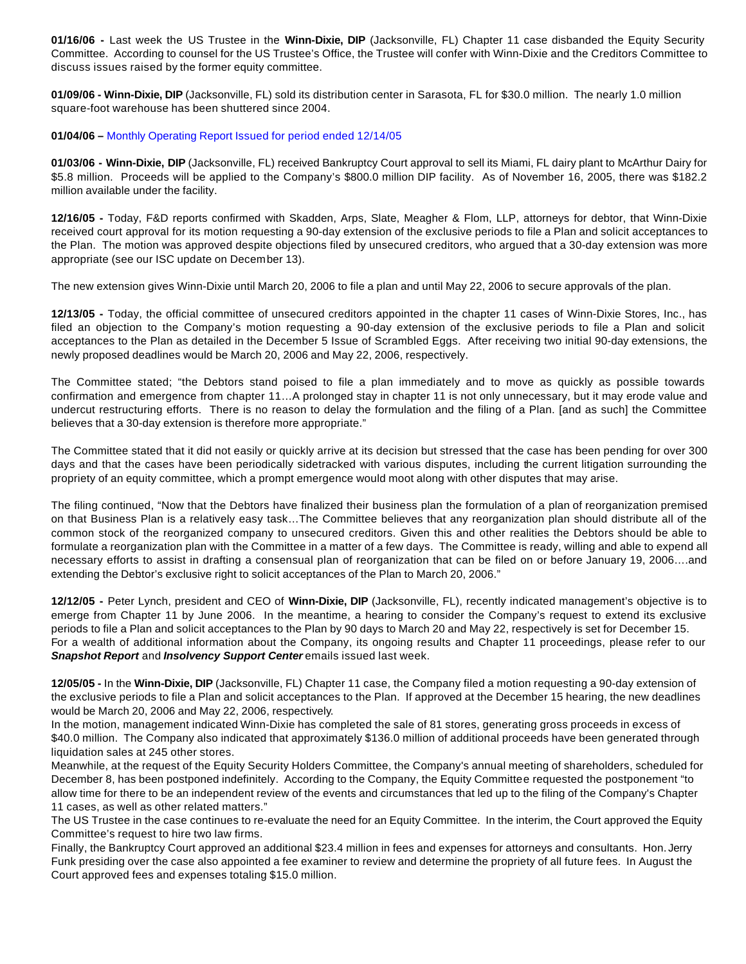**01/16/06 -** Last week the US Trustee in the **Winn-Dixie, DIP** (Jacksonville, FL) Chapter 11 case disbanded the Equity Security Committee. According to counsel for the US Trustee's Office, the Trustee will confer with Winn-Dixie and the Creditors Committee to discuss issues raised by the former equity committee.

**01/09/06 - Winn-Dixie, DIP** (Jacksonville, FL) sold its distribution center in Sarasota, FL for \$30.0 million. The nearly 1.0 million square-foot warehouse has been shuttered since 2004.

#### **01/04/06 –** Monthly Operating Report Issued for period ended 12/14/05

**01/03/06 - Winn-Dixie, DIP** (Jacksonville, FL) received Bankruptcy Court approval to sell its Miami, FL dairy plant to McArthur Dairy for \$5.8 million. Proceeds will be applied to the Company's \$800.0 million DIP facility. As of November 16, 2005, there was \$182.2 million available under the facility.

**12/16/05 -** Today, F&D reports confirmed with Skadden, Arps, Slate, Meagher & Flom, LLP, attorneys for debtor, that Winn-Dixie received court approval for its motion requesting a 90-day extension of the exclusive periods to file a Plan and solicit acceptances to the Plan. The motion was approved despite objections filed by unsecured creditors, who argued that a 30-day extension was more appropriate (see our ISC update on December 13).

The new extension gives Winn-Dixie until March 20, 2006 to file a plan and until May 22, 2006 to secure approvals of the plan.

**12/13/05 -** Today, the official committee of unsecured creditors appointed in the chapter 11 cases of Winn-Dixie Stores, Inc., has filed an objection to the Company's motion requesting a 90-day extension of the exclusive periods to file a Plan and solicit acceptances to the Plan as detailed in the December 5 Issue of Scrambled Eggs. After receiving two initial 90-day extensions, the newly proposed deadlines would be March 20, 2006 and May 22, 2006, respectively.

The Committee stated; "the Debtors stand poised to file a plan immediately and to move as quickly as possible towards confirmation and emergence from chapter 11…A prolonged stay in chapter 11 is not only unnecessary, but it may erode value and undercut restructuring efforts. There is no reason to delay the formulation and the filing of a Plan. [and as such] the Committee believes that a 30-day extension is therefore more appropriate."

The Committee stated that it did not easily or quickly arrive at its decision but stressed that the case has been pending for over 300 days and that the cases have been periodically sidetracked with various disputes, including the current litigation surrounding the propriety of an equity committee, which a prompt emergence would moot along with other disputes that may arise.

The filing continued, "Now that the Debtors have finalized their business plan the formulation of a plan of reorganization premised on that Business Plan is a relatively easy task…The Committee believes that any reorganization plan should distribute all of the common stock of the reorganized company to unsecured creditors. Given this and other realities the Debtors should be able to formulate a reorganization plan with the Committee in a matter of a few days. The Committee is ready, willing and able to expend all necessary efforts to assist in drafting a consensual plan of reorganization that can be filed on or before January 19, 2006….and extending the Debtor's exclusive right to solicit acceptances of the Plan to March 20, 2006."

**12/12/05 -** Peter Lynch, president and CEO of **Winn-Dixie, DIP** (Jacksonville, FL), recently indicated management's objective is to emerge from Chapter 11 by June 2006. In the meantime, a hearing to consider the Company's request to extend its exclusive periods to file a Plan and solicit acceptances to the Plan by 90 days to March 20 and May 22, respectively is set for December 15. For a wealth of additional information about the Company, its ongoing results and Chapter 11 proceedings, please refer to our Snapshot Report and *Insolvency Support Center* emails issued last week.

**12/05/05 -** In the **Winn-Dixie, DIP** (Jacksonville, FL) Chapter 11 case, the Company filed a motion requesting a 90-day extension of the exclusive periods to file a Plan and solicit acceptances to the Plan. If approved at the December 15 hearing, the new deadlines would be March 20, 2006 and May 22, 2006, respectively.

In the motion, management indicated Winn-Dixie has completed the sale of 81 stores, generating gross proceeds in excess of \$40.0 million. The Company also indicated that approximately \$136.0 million of additional proceeds have been generated through liquidation sales at 245 other stores.

Meanwhile, at the request of the Equity Security Holders Committee, the Company's annual meeting of shareholders, scheduled for December 8, has been postponed indefinitely. According to the Company, the Equity Committee requested the postponement "to allow time for there to be an independent review of the events and circumstances that led up to the filing of the Company's Chapter 11 cases, as well as other related matters."

The US Trustee in the case continues to re-evaluate the need for an Equity Committee. In the interim, the Court approved the Equity Committee's request to hire two law firms.

Finally, the Bankruptcy Court approved an additional \$23.4 million in fees and expenses for attorneys and consultants. Hon. Jerry Funk presiding over the case also appointed a fee examiner to review and determine the propriety of all future fees. In August the Court approved fees and expenses totaling \$15.0 million.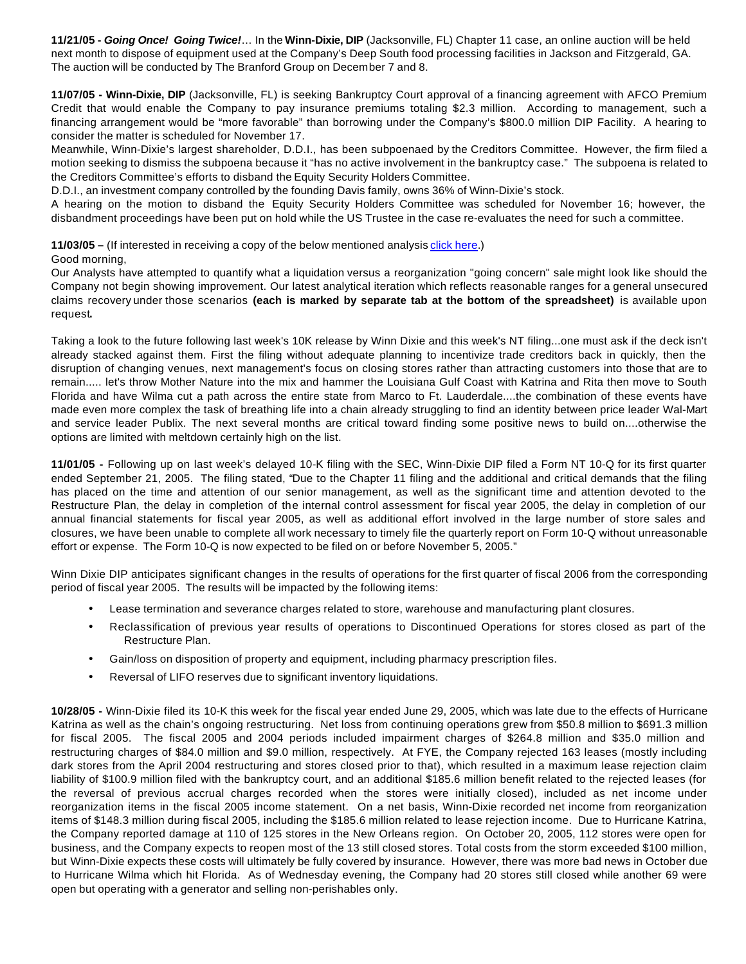**11/21/05 -** *Going Once! Going Twice!*… In the **Winn-Dixie, DIP** (Jacksonville, FL) Chapter 11 case, an online auction will be held next month to dispose of equipment used at the Company's Deep South food processing facilities in Jackson and Fitzgerald, GA. The auction will be conducted by The Branford Group on December 7 and 8.

**11/07/05 - Winn-Dixie, DIP** (Jacksonville, FL) is seeking Bankruptcy Court approval of a financing agreement with AFCO Premium Credit that would enable the Company to pay insurance premiums totaling \$2.3 million. According to management, such a financing arrangement would be "more favorable" than borrowing under the Company's \$800.0 million DIP Facility. A hearing to consider the matter is scheduled for November 17.

Meanwhile, Winn-Dixie's largest shareholder, D.D.I., has been subpoenaed by the Creditors Committee. However, the firm filed a motion seeking to dismiss the subpoena because it "has no active involvement in the bankruptcy case." The subpoena is related to the Creditors Committee's efforts to disband the Equity Security Holders Committee.

D.D.I., an investment company controlled by the founding Davis family, owns 36% of Winn-Dixie's stock.

A hearing on the motion to disband the Equity Security Holders Committee was scheduled for November 16; however, the disbandment proceedings have been put on hold while the US Trustee in the case re-evaluates the need for such a committee.

**11/03/05** – (If interested in receiving a copy of the below mentioned analysis *click here.*)

Good morning,

Our Analysts have attempted to quantify what a liquidation versus a reorganization "going concern" sale might look like should the Company not begin showing improvement. Our latest analytical iteration which reflects reasonable ranges for a general unsecured claims recovery under those scenarios **(each is marked by separate tab at the bottom of the spreadsheet)** is available upon request**.**

Taking a look to the future following last week's 10K release by Winn Dixie and this week's NT filing...one must ask if the deck isn't already stacked against them. First the filing without adequate planning to incentivize trade creditors back in quickly, then the disruption of changing venues, next management's focus on closing stores rather than attracting customers into those that are to remain..... let's throw Mother Nature into the mix and hammer the Louisiana Gulf Coast with Katrina and Rita then move to South Florida and have Wilma cut a path across the entire state from Marco to Ft. Lauderdale....the combination of these events have made even more complex the task of breathing life into a chain already struggling to find an identity between price leader Wal-Mart and service leader Publix. The next several months are critical toward finding some positive news to build on....otherwise the options are limited with meltdown certainly high on the list.

**11/01/05 -** Following up on last week's delayed 10-K filing with the SEC, Winn-Dixie DIP filed a Form NT 10-Q for its first quarter ended September 21, 2005. The filing stated, "Due to the Chapter 11 filing and the additional and critical demands that the filing has placed on the time and attention of our senior management, as well as the significant time and attention devoted to the Restructure Plan, the delay in completion of the internal control assessment for fiscal year 2005, the delay in completion of our annual financial statements for fiscal year 2005, as well as additional effort involved in the large number of store sales and closures, we have been unable to complete all work necessary to timely file the quarterly report on Form 10-Q without unreasonable effort or expense. The Form 10-Q is now expected to be filed on or before November 5, 2005."

Winn Dixie DIP anticipates significant changes in the results of operations for the first quarter of fiscal 2006 from the corresponding period of fiscal year 2005. The results will be impacted by the following items:

- Lease termination and severance charges related to store, warehouse and manufacturing plant closures.
- Reclassification of previous year results of operations to Discontinued Operations for stores closed as part of the Restructure Plan.
- Gain/loss on disposition of property and equipment, including pharmacy prescription files.
- Reversal of LIFO reserves due to significant inventory liquidations.

**10/28/05 -** Winn-Dixie filed its 10-K this week for the fiscal year ended June 29, 2005, which was late due to the effects of Hurricane Katrina as well as the chain's ongoing restructuring. Net loss from continuing operations grew from \$50.8 million to \$691.3 million for fiscal 2005. The fiscal 2005 and 2004 periods included impairment charges of \$264.8 million and \$35.0 million and restructuring charges of \$84.0 million and \$9.0 million, respectively. At FYE, the Company rejected 163 leases (mostly including dark stores from the April 2004 restructuring and stores closed prior to that), which resulted in a maximum lease rejection claim liability of \$100.9 million filed with the bankruptcy court, and an additional \$185.6 million benefit related to the rejected leases (for the reversal of previous accrual charges recorded when the stores were initially closed), included as net income under reorganization items in the fiscal 2005 income statement. On a net basis, Winn-Dixie recorded net income from reorganization items of \$148.3 million during fiscal 2005, including the \$185.6 million related to lease rejection income. Due to Hurricane Katrina, the Company reported damage at 110 of 125 stores in the New Orleans region. On October 20, 2005, 112 stores were open for business, and the Company expects to reopen most of the 13 still closed stores. Total costs from the storm exceeded \$100 million, but Winn-Dixie expects these costs will ultimately be fully covered by insurance. However, there was more bad news in October due to Hurricane Wilma which hit Florida. As of Wednesday evening, the Company had 20 stores still closed while another 69 were open but operating with a generator and selling non-perishables only.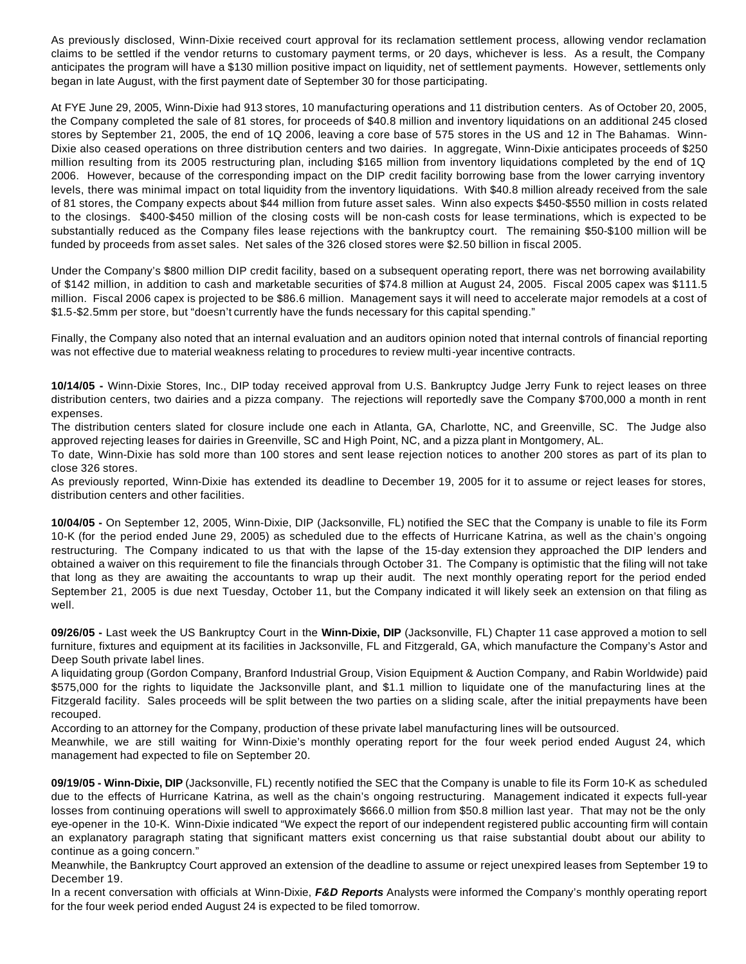As previously disclosed, Winn-Dixie received court approval for its reclamation settlement process, allowing vendor reclamation claims to be settled if the vendor returns to customary payment terms, or 20 days, whichever is less. As a result, the Company anticipates the program will have a \$130 million positive impact on liquidity, net of settlement payments. However, settlements only began in late August, with the first payment date of September 30 for those participating.

At FYE June 29, 2005, Winn-Dixie had 913 stores, 10 manufacturing operations and 11 distribution centers. As of October 20, 2005, the Company completed the sale of 81 stores, for proceeds of \$40.8 million and inventory liquidations on an additional 245 closed stores by September 21, 2005, the end of 1Q 2006, leaving a core base of 575 stores in the US and 12 in The Bahamas. Winn-Dixie also ceased operations on three distribution centers and two dairies. In aggregate, Winn-Dixie anticipates proceeds of \$250 million resulting from its 2005 restructuring plan, including \$165 million from inventory liquidations completed by the end of 1Q 2006. However, because of the corresponding impact on the DIP credit facility borrowing base from the lower carrying inventory levels, there was minimal impact on total liquidity from the inventory liquidations. With \$40.8 million already received from the sale of 81 stores, the Company expects about \$44 million from future asset sales. Winn also expects \$450-\$550 million in costs related to the closings. \$400-\$450 million of the closing costs will be non-cash costs for lease terminations, which is expected to be substantially reduced as the Company files lease rejections with the bankruptcy court. The remaining \$50-\$100 million will be funded by proceeds from asset sales. Net sales of the 326 closed stores were \$2.50 billion in fiscal 2005.

Under the Company's \$800 million DIP credit facility, based on a subsequent operating report, there was net borrowing availability of \$142 million, in addition to cash and marketable securities of \$74.8 million at August 24, 2005. Fiscal 2005 capex was \$111.5 million. Fiscal 2006 capex is projected to be \$86.6 million. Management says it will need to accelerate major remodels at a cost of \$1.5-\$2.5mm per store, but "doesn't currently have the funds necessary for this capital spending."

Finally, the Company also noted that an internal evaluation and an auditors opinion noted that internal controls of financial reporting was not effective due to material weakness relating to procedures to review multi-year incentive contracts.

**10/14/05 -** Winn-Dixie Stores, Inc., DIP today received approval from U.S. Bankruptcy Judge Jerry Funk to reject leases on three distribution centers, two dairies and a pizza company. The rejections will reportedly save the Company \$700,000 a month in rent expenses.

The distribution centers slated for closure include one each in Atlanta, GA, Charlotte, NC, and Greenville, SC. The Judge also approved rejecting leases for dairies in Greenville, SC and High Point, NC, and a pizza plant in Montgomery, AL.

To date, Winn-Dixie has sold more than 100 stores and sent lease rejection notices to another 200 stores as part of its plan to close 326 stores.

As previously reported, Winn-Dixie has extended its deadline to December 19, 2005 for it to assume or reject leases for stores, distribution centers and other facilities.

**10/04/05 -** On September 12, 2005, Winn-Dixie, DIP (Jacksonville, FL) notified the SEC that the Company is unable to file its Form 10-K (for the period ended June 29, 2005) as scheduled due to the effects of Hurricane Katrina, as well as the chain's ongoing restructuring. The Company indicated to us that with the lapse of the 15-day extension they approached the DIP lenders and obtained a waiver on this requirement to file the financials through October 31. The Company is optimistic that the filing will not take that long as they are awaiting the accountants to wrap up their audit. The next monthly operating report for the period ended September 21, 2005 is due next Tuesday, October 11, but the Company indicated it will likely seek an extension on that filing as well.

**09/26/05 -** Last week the US Bankruptcy Court in the **Winn-Dixie, DIP** (Jacksonville, FL) Chapter 11 case approved a motion to sell furniture, fixtures and equipment at its facilities in Jacksonville, FL and Fitzgerald, GA, which manufacture the Company's Astor and Deep South private label lines.

A liquidating group (Gordon Company, Branford Industrial Group, Vision Equipment & Auction Company, and Rabin Worldwide) paid \$575,000 for the rights to liquidate the Jacksonville plant, and \$1.1 million to liquidate one of the manufacturing lines at the Fitzgerald facility. Sales proceeds will be split between the two parties on a sliding scale, after the initial prepayments have been recouped.

According to an attorney for the Company, production of these private label manufacturing lines will be outsourced.

Meanwhile, we are still waiting for Winn-Dixie's monthly operating report for the four week period ended August 24, which management had expected to file on September 20.

**09/19/05 - Winn-Dixie, DIP** (Jacksonville, FL) recently notified the SEC that the Company is unable to file its Form 10-K as scheduled due to the effects of Hurricane Katrina, as well as the chain's ongoing restructuring. Management indicated it expects full-year losses from continuing operations will swell to approximately \$666.0 million from \$50.8 million last year. That may not be the only eye-opener in the 10-K. Winn-Dixie indicated "We expect the report of our independent registered public accounting firm will contain an explanatory paragraph stating that significant matters exist concerning us that raise substantial doubt about our ability to continue as a going concern."

Meanwhile, the Bankruptcy Court approved an extension of the deadline to assume or reject unexpired leases from September 19 to December 19.

In a recent conversation with officials at Winn-Dixie, *F&D Reports* Analysts were informed the Company's monthly operating report for the four week period ended August 24 is expected to be filed tomorrow.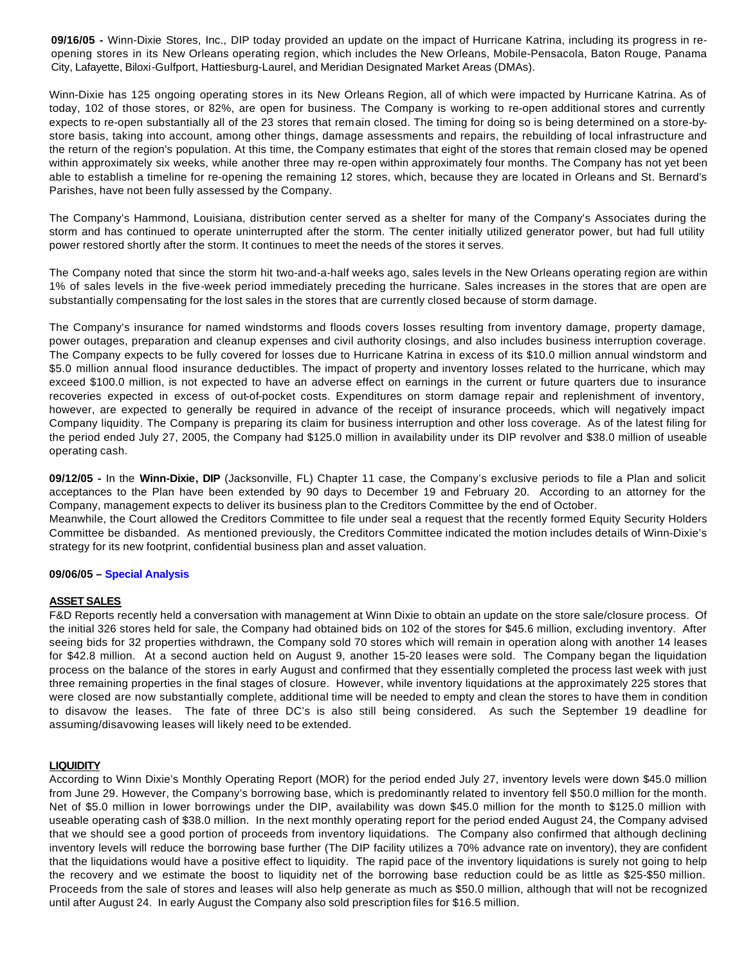**09/16/05 -** Winn-Dixie Stores, Inc., DIP today provided an update on the impact of Hurricane Katrina, including its progress in reopening stores in its New Orleans operating region, which includes the New Orleans, Mobile-Pensacola, Baton Rouge, Panama City, Lafayette, Biloxi-Gulfport, Hattiesburg-Laurel, and Meridian Designated Market Areas (DMAs).

Winn-Dixie has 125 ongoing operating stores in its New Orleans Region, all of which were impacted by Hurricane Katrina. As of today, 102 of those stores, or 82%, are open for business. The Company is working to re-open additional stores and currently expects to re-open substantially all of the 23 stores that remain closed. The timing for doing so is being determined on a store-bystore basis, taking into account, among other things, damage assessments and repairs, the rebuilding of local infrastructure and the return of the region's population. At this time, the Company estimates that eight of the stores that remain closed may be opened within approximately six weeks, while another three may re-open within approximately four months. The Company has not yet been able to establish a timeline for re-opening the remaining 12 stores, which, because they are located in Orleans and St. Bernard's Parishes, have not been fully assessed by the Company.

The Company's Hammond, Louisiana, distribution center served as a shelter for many of the Company's Associates during the storm and has continued to operate uninterrupted after the storm. The center initially utilized generator power, but had full utility power restored shortly after the storm. It continues to meet the needs of the stores it serves.

The Company noted that since the storm hit two-and-a-half weeks ago, sales levels in the New Orleans operating region are within 1% of sales levels in the five-week period immediately preceding the hurricane. Sales increases in the stores that are open are substantially compensating for the lost sales in the stores that are currently closed because of storm damage.

The Company's insurance for named windstorms and floods covers losses resulting from inventory damage, property damage, power outages, preparation and cleanup expenses and civil authority closings, and also includes business interruption coverage. The Company expects to be fully covered for losses due to Hurricane Katrina in excess of its \$10.0 million annual windstorm and \$5.0 million annual flood insurance deductibles. The impact of property and inventory losses related to the hurricane, which may exceed \$100.0 million, is not expected to have an adverse effect on earnings in the current or future quarters due to insurance recoveries expected in excess of out-of-pocket costs. Expenditures on storm damage repair and replenishment of inventory, however, are expected to generally be required in advance of the receipt of insurance proceeds, which will negatively impact Company liquidity. The Company is preparing its claim for business interruption and other loss coverage. As of the latest filing for the period ended July 27, 2005, the Company had \$125.0 million in availability under its DIP revolver and \$38.0 million of useable operating cash.

**09/12/05 -** In the **Winn-Dixie, DIP** (Jacksonville, FL) Chapter 11 case, the Company's exclusive periods to file a Plan and solicit acceptances to the Plan have been extended by 90 days to December 19 and February 20. According to an attorney for the Company, management expects to deliver its business plan to the Creditors Committee by the end of October.

Meanwhile, the Court allowed the Creditors Committee to file under seal a request that the recently formed Equity Security Holders Committee be disbanded. As mentioned previously, the Creditors Committee indicated the motion includes details of Winn-Dixie's strategy for its new footprint, confidential business plan and asset valuation.

#### **09/06/05 – Special Analysis**

#### **ASSET SALES**

F&D Reports recently held a conversation with management at Winn Dixie to obtain an update on the store sale/closure process. Of the initial 326 stores held for sale, the Company had obtained bids on 102 of the stores for \$45.6 million, excluding inventory. After seeing bids for 32 properties withdrawn, the Company sold 70 stores which will remain in operation along with another 14 leases for \$42.8 million. At a second auction held on August 9, another 15-20 leases were sold. The Company began the liquidation process on the balance of the stores in early August and confirmed that they essentially completed the process last week with just three remaining properties in the final stages of closure. However, while inventory liquidations at the approximately 225 stores that were closed are now substantially complete, additional time will be needed to empty and clean the stores to have them in condition to disavow the leases. The fate of three DC's is also still being considered. As such the September 19 deadline for assuming/disavowing leases will likely need to be extended.

#### **LIQUIDITY**

According to Winn Dixie's Monthly Operating Report (MOR) for the period ended July 27, inventory levels were down \$45.0 million from June 29. However, the Company's borrowing base, which is predominantly related to inventory fell \$50.0 million for the month. Net of \$5.0 million in lower borrowings under the DIP, availability was down \$45.0 million for the month to \$125.0 million with useable operating cash of \$38.0 million. In the next monthly operating report for the period ended August 24, the Company advised that we should see a good portion of proceeds from inventory liquidations. The Company also confirmed that although declining inventory levels will reduce the borrowing base further (The DIP facility utilizes a 70% advance rate on inventory), they are confident that the liquidations would have a positive effect to liquidity. The rapid pace of the inventory liquidations is surely not going to help the recovery and we estimate the boost to liquidity net of the borrowing base reduction could be as little as \$25-\$50 million. Proceeds from the sale of stores and leases will also help generate as much as \$50.0 million, although that will not be recognized until after August 24. In early August the Company also sold prescription files for \$16.5 million.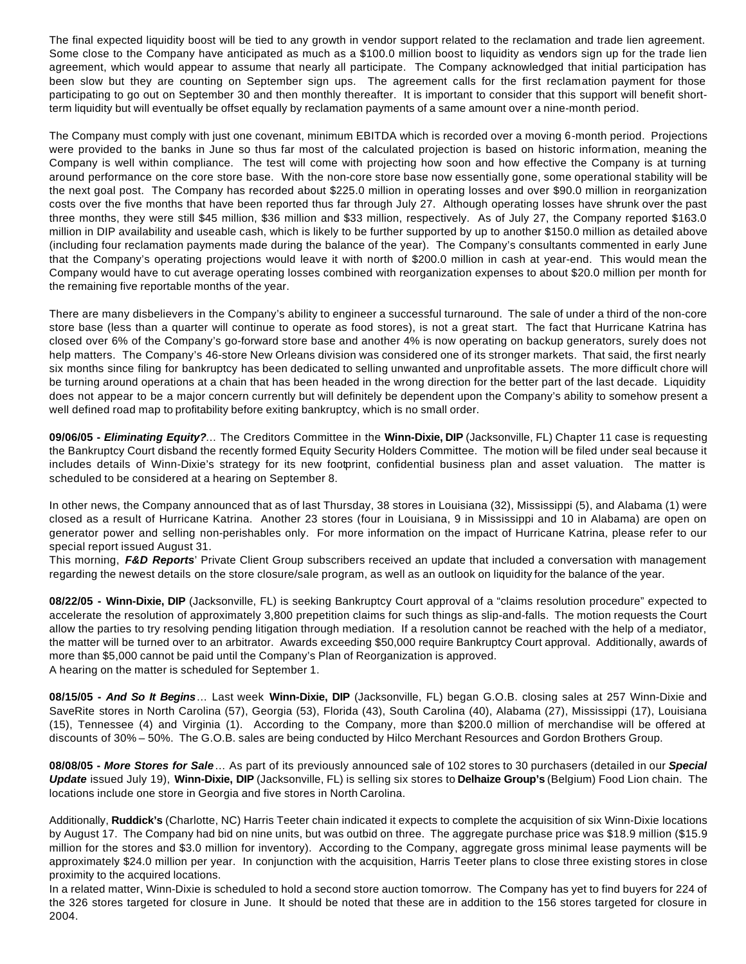The final expected liquidity boost will be tied to any growth in vendor support related to the reclamation and trade lien agreement. Some close to the Company have anticipated as much as a \$100.0 million boost to liquidity as vendors sign up for the trade lien agreement, which would appear to assume that nearly all participate. The Company acknowledged that initial participation has been slow but they are counting on September sign ups. The agreement calls for the first reclamation payment for those participating to go out on September 30 and then monthly thereafter. It is important to consider that this support will benefit shortterm liquidity but will eventually be offset equally by reclamation payments of a same amount over a nine-month period.

The Company must comply with just one covenant, minimum EBITDA which is recorded over a moving 6-month period. Projections were provided to the banks in June so thus far most of the calculated projection is based on historic information, meaning the Company is well within compliance. The test will come with projecting how soon and how effective the Company is at turning around performance on the core store base. With the non-core store base now essentially gone, some operational stability will be the next goal post. The Company has recorded about \$225.0 million in operating losses and over \$90.0 million in reorganization costs over the five months that have been reported thus far through July 27. Although operating losses have shrunk over the past three months, they were still \$45 million, \$36 million and \$33 million, respectively. As of July 27, the Company reported \$163.0 million in DIP availability and useable cash, which is likely to be further supported by up to another \$150.0 million as detailed above (including four reclamation payments made during the balance of the year). The Company's consultants commented in early June that the Company's operating projections would leave it with north of \$200.0 million in cash at year-end. This would mean the Company would have to cut average operating losses combined with reorganization expenses to about \$20.0 million per month for the remaining five reportable months of the year.

There are many disbelievers in the Company's ability to engineer a successful turnaround. The sale of under a third of the non-core store base (less than a quarter will continue to operate as food stores), is not a great start. The fact that Hurricane Katrina has closed over 6% of the Company's go-forward store base and another 4% is now operating on backup generators, surely does not help matters. The Company's 46-store New Orleans division was considered one of its stronger markets. That said, the first nearly six months since filing for bankruptcy has been dedicated to selling unwanted and unprofitable assets. The more difficult chore will be turning around operations at a chain that has been headed in the wrong direction for the better part of the last decade. Liquidity does not appear to be a major concern currently but will definitely be dependent upon the Company's ability to somehow present a well defined road map to profitability before exiting bankruptcy, which is no small order.

**09/06/05 -** *Eliminating Equity?*… The Creditors Committee in the **Winn-Dixie, DIP** (Jacksonville, FL) Chapter 11 case is requesting the Bankruptcy Court disband the recently formed Equity Security Holders Committee. The motion will be filed under seal because it includes details of Winn-Dixie's strategy for its new footprint, confidential business plan and asset valuation. The matter is scheduled to be considered at a hearing on September 8.

In other news, the Company announced that as of last Thursday, 38 stores in Louisiana (32), Mississippi (5), and Alabama (1) were closed as a result of Hurricane Katrina. Another 23 stores (four in Louisiana, 9 in Mississippi and 10 in Alabama) are open on generator power and selling non-perishables only. For more information on the impact of Hurricane Katrina, please refer to our special report issued August 31.

This morning, *F&D Reports*' Private Client Group subscribers received an update that included a conversation with management regarding the newest details on the store closure/sale program, as well as an outlook on liquidity for the balance of the year.

**08/22/05 - Winn-Dixie, DIP** (Jacksonville, FL) is seeking Bankruptcy Court approval of a "claims resolution procedure" expected to accelerate the resolution of approximately 3,800 prepetition claims for such things as slip-and-falls. The motion requests the Court allow the parties to try resolving pending litigation through mediation. If a resolution cannot be reached with the help of a mediator, the matter will be turned over to an arbitrator. Awards exceeding \$50,000 require Bankruptcy Court approval. Additionally, awards of more than \$5,000 cannot be paid until the Company's Plan of Reorganization is approved. A hearing on the matter is scheduled for September 1.

**08/15/05 -** *And So It Begins*… Last week **Winn-Dixie, DIP** (Jacksonville, FL) began G.O.B. closing sales at 257 Winn-Dixie and SaveRite stores in North Carolina (57), Georgia (53), Florida (43), South Carolina (40), Alabama (27), Mississippi (17), Louisiana (15), Tennessee (4) and Virginia (1). According to the Company, more than \$200.0 million of merchandise will be offered at discounts of 30% – 50%. The G.O.B. sales are being conducted by Hilco Merchant Resources and Gordon Brothers Group.

**08/08/05 -** *More Stores for Sale*… As part of its previously announced sale of 102 stores to 30 purchasers (detailed in our *Special Update* issued July 19), **Winn-Dixie, DIP** (Jacksonville, FL) is selling six stores to **Delhaize Group's** (Belgium) Food Lion chain. The locations include one store in Georgia and five stores in North Carolina.

Additionally, **Ruddick's** (Charlotte, NC) Harris Teeter chain indicated it expects to complete the acquisition of six Winn-Dixie locations by August 17. The Company had bid on nine units, but was outbid on three. The aggregate purchase price was \$18.9 million (\$15.9 million for the stores and \$3.0 million for inventory). According to the Company, aggregate gross minimal lease payments will be approximately \$24.0 million per year. In conjunction with the acquisition, Harris Teeter plans to close three existing stores in close proximity to the acquired locations.

In a related matter, Winn-Dixie is scheduled to hold a second store auction tomorrow. The Company has yet to find buyers for 224 of the 326 stores targeted for closure in June. It should be noted that these are in addition to the 156 stores targeted for closure in 2004.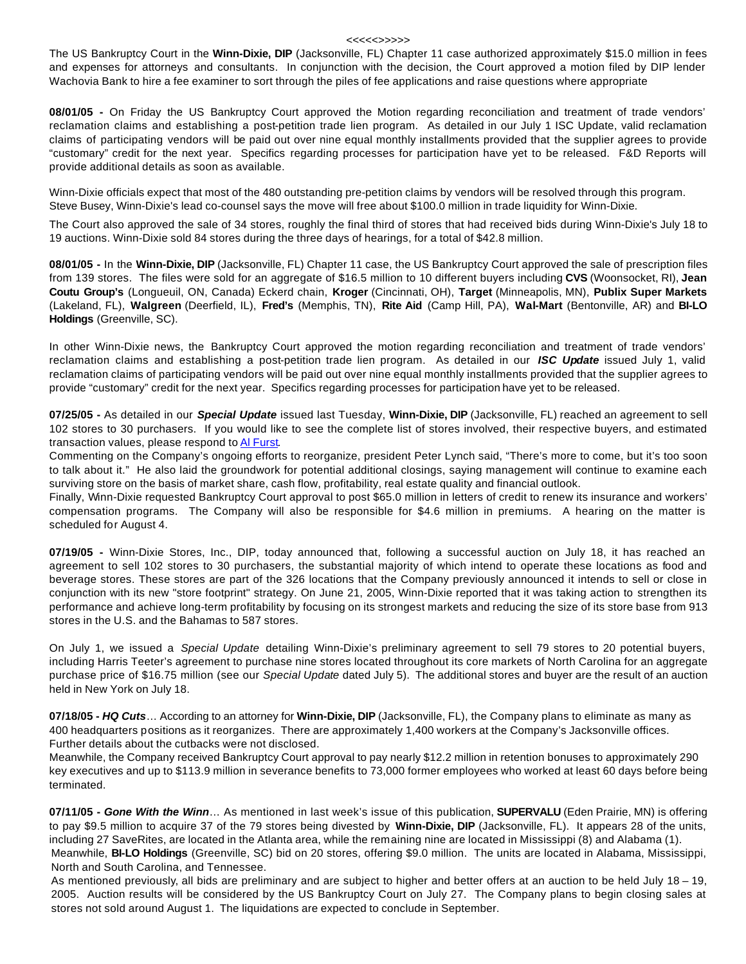#### <<<<<>>>>>

The US Bankruptcy Court in the **Winn-Dixie, DIP** (Jacksonville, FL) Chapter 11 case authorized approximately \$15.0 million in fees and expenses for attorneys and consultants. In conjunction with the decision, the Court approved a motion filed by DIP lender Wachovia Bank to hire a fee examiner to sort through the piles of fee applications and raise questions where appropriate

**08/01/05 -** On Friday the US Bankruptcy Court approved the Motion regarding reconciliation and treatment of trade vendors' reclamation claims and establishing a post-petition trade lien program. As detailed in our July 1 ISC Update, valid reclamation claims of participating vendors will be paid out over nine equal monthly installments provided that the supplier agrees to provide "customary" credit for the next year. Specifics regarding processes for participation have yet to be released. F&D Reports will provide additional details as soon as available.

Winn-Dixie officials expect that most of the 480 outstanding pre-petition claims by vendors will be resolved through this program. Steve Busey, Winn-Dixie's lead co-counsel says the move will free about \$100.0 million in trade liquidity for Winn-Dixie.

The Court also approved the sale of 34 stores, roughly the final third of stores that had received bids during Winn-Dixie's July 18 to 19 auctions. Winn-Dixie sold 84 stores during the three days of hearings, for a total of \$42.8 million.

**08/01/05 -** In the **Winn-Dixie, DIP** (Jacksonville, FL) Chapter 11 case, the US Bankruptcy Court approved the sale of prescription files from 139 stores. The files were sold for an aggregate of \$16.5 million to 10 different buyers including **CVS** (Woonsocket, RI), **Jean Coutu Group's** (Longueuil, ON, Canada) Eckerd chain, **Kroger** (Cincinnati, OH), **Target** (Minneapolis, MN), **Publix Super Markets**  (Lakeland, FL), **Walgreen** (Deerfield, IL), **Fred's** (Memphis, TN), **Rite Aid** (Camp Hill, PA), **Wal-Mart** (Bentonville, AR) and **BI-LO Holdings** (Greenville, SC).

In other Winn-Dixie news, the Bankruptcy Court approved the motion regarding reconciliation and treatment of trade vendors' reclamation claims and establishing a post-petition trade lien program. As detailed in our *ISC Update* issued July 1, valid reclamation claims of participating vendors will be paid out over nine equal monthly installments provided that the supplier agrees to provide "customary" credit for the next year. Specifics regarding processes for participation have yet to be released.

**07/25/05 -** As detailed in our *Special Update* issued last Tuesday, **Winn-Dixie, DIP** (Jacksonville, FL) reached an agreement to sell 102 stores to 30 purchasers. If you would like to see the complete list of stores involved, their respective buyers, and estimated transaction values, please respond to Al Furst.

Commenting on the Company's ongoing efforts to reorganize, president Peter Lynch said, "There's more to come, but it's too soon to talk about it." He also laid the groundwork for potential additional closings, saying management will continue to examine each surviving store on the basis of market share, cash flow, profitability, real estate quality and financial outlook.

Finally, Winn-Dixie requested Bankruptcy Court approval to post \$65.0 million in letters of credit to renew its insurance and workers' compensation programs. The Company will also be responsible for \$4.6 million in premiums. A hearing on the matter is scheduled for August 4.

**07/19/05 -** Winn-Dixie Stores, Inc., DIP, today announced that, following a successful auction on July 18, it has reached an agreement to sell 102 stores to 30 purchasers, the substantial majority of which intend to operate these locations as food and beverage stores. These stores are part of the 326 locations that the Company previously announced it intends to sell or close in conjunction with its new "store footprint" strategy. On June 21, 2005, Winn-Dixie reported that it was taking action to strengthen its performance and achieve long-term profitability by focusing on its strongest markets and reducing the size of its store base from 913 stores in the U.S. and the Bahamas to 587 stores.

On July 1, we issued a *Special Update* detailing Winn-Dixie's preliminary agreement to sell 79 stores to 20 potential buyers, including Harris Teeter's agreement to purchase nine stores located throughout its core markets of North Carolina for an aggregate purchase price of \$16.75 million (see our *Special Update* dated July 5). The additional stores and buyer are the result of an auction held in New York on July 18.

**07/18/05 -** *HQ Cuts*… According to an attorney for **Winn-Dixie, DIP** (Jacksonville, FL), the Company plans to eliminate as many as 400 headquarters positions as it reorganizes. There are approximately 1,400 workers at the Company's Jacksonville offices. Further details about the cutbacks were not disclosed.

Meanwhile, the Company received Bankruptcy Court approval to pay nearly \$12.2 million in retention bonuses to approximately 290 key executives and up to \$113.9 million in severance benefits to 73,000 former employees who worked at least 60 days before being terminated.

**07/11/05 -** *Gone With the Winn*… As mentioned in last week's issue of this publication, **SUPERVALU** (Eden Prairie, MN) is offering to pay \$9.5 million to acquire 37 of the 79 stores being divested by **Winn-Dixie, DIP** (Jacksonville, FL). It appears 28 of the units, including 27 SaveRites, are located in the Atlanta area, while the remaining nine are located in Mississippi (8) and Alabama (1). Meanwhile, **BI-LO Holdings** (Greenville, SC) bid on 20 stores, offering \$9.0 million. The units are located in Alabama, Mississippi, North and South Carolina, and Tennessee.

As mentioned previously, all bids are preliminary and are subject to higher and better offers at an auction to be held July 18 – 19, 2005. Auction results will be considered by the US Bankruptcy Court on July 27. The Company plans to begin closing sales at stores not sold around August 1. The liquidations are expected to conclude in September.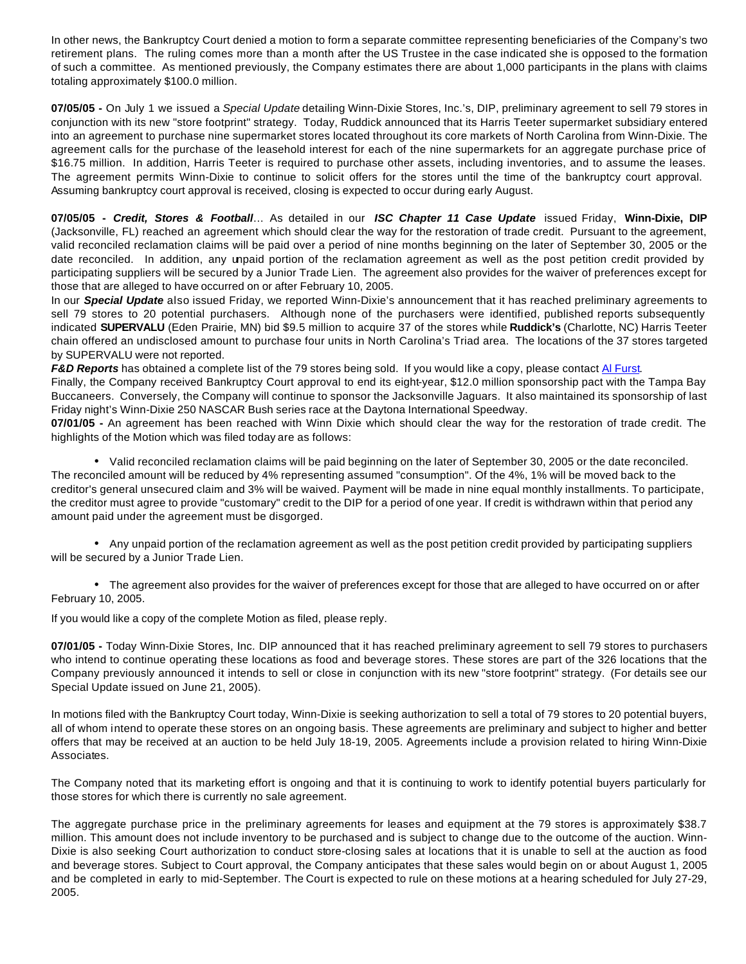In other news, the Bankruptcy Court denied a motion to form a separate committee representing beneficiaries of the Company's two retirement plans. The ruling comes more than a month after the US Trustee in the case indicated she is opposed to the formation of such a committee. As mentioned previously, the Company estimates there are about 1,000 participants in the plans with claims totaling approximately \$100.0 million.

**07/05/05 -** On July 1 we issued a *Special Update* detailing Winn-Dixie Stores, Inc.'s, DIP, preliminary agreement to sell 79 stores in conjunction with its new "store footprint" strategy. Today, Ruddick announced that its Harris Teeter supermarket subsidiary entered into an agreement to purchase nine supermarket stores located throughout its core markets of North Carolina from Winn-Dixie. The agreement calls for the purchase of the leasehold interest for each of the nine supermarkets for an aggregate purchase price of \$16.75 million. In addition, Harris Teeter is required to purchase other assets, including inventories, and to assume the leases. The agreement permits Winn-Dixie to continue to solicit offers for the stores until the time of the bankruptcy court approval. Assuming bankruptcy court approval is received, closing is expected to occur during early August.

**07/05/05 -** *Credit, Stores & Football*… As detailed in our *ISC Chapter 11 Case Update* issued Friday, **Winn-Dixie, DIP** (Jacksonville, FL) reached an agreement which should clear the way for the restoration of trade credit. Pursuant to the agreement, valid reconciled reclamation claims will be paid over a period of nine months beginning on the later of September 30, 2005 or the date reconciled. In addition, any unpaid portion of the reclamation agreement as well as the post petition credit provided by participating suppliers will be secured by a Junior Trade Lien. The agreement also provides for the waiver of preferences except for those that are alleged to have occurred on or after February 10, 2005.

In our *Special Update* also issued Friday, we reported Winn-Dixie's announcement that it has reached preliminary agreements to sell 79 stores to 20 potential purchasers. Although none of the purchasers were identified, published reports subsequently indicated **SUPERVALU** (Eden Prairie, MN) bid \$9.5 million to acquire 37 of the stores while **Ruddick's** (Charlotte, NC) Harris Teeter chain offered an undisclosed amount to purchase four units in North Carolina's Triad area. The locations of the 37 stores targeted by SUPERVALU were not reported.

F&D Reports has obtained a complete list of the 79 stores being sold. If you would like a copy, please contact Al Furst.

Finally, the Company received Bankruptcy Court approval to end its eight-year, \$12.0 million sponsorship pact with the Tampa Bay Buccaneers. Conversely, the Company will continue to sponsor the Jacksonville Jaguars. It also maintained its sponsorship of last Friday night's Winn-Dixie 250 NASCAR Bush series race at the Daytona International Speedway.

**07/01/05 -** An agreement has been reached with Winn Dixie which should clear the way for the restoration of trade credit. The highlights of the Motion which was filed today are as follows:

• Valid reconciled reclamation claims will be paid beginning on the later of September 30, 2005 or the date reconciled. The reconciled amount will be reduced by 4% representing assumed "consumption". Of the 4%, 1% will be moved back to the creditor's general unsecured claim and 3% will be waived. Payment will be made in nine equal monthly installments. To participate, the creditor must agree to provide "customary" credit to the DIP for a period of one year. If credit is withdrawn within that period any amount paid under the agreement must be disgorged.

• Any unpaid portion of the reclamation agreement as well as the post petition credit provided by participating suppliers will be secured by a Junior Trade Lien.

• The agreement also provides for the waiver of preferences except for those that are alleged to have occurred on or after February 10, 2005.

If you would like a copy of the complete Motion as filed, please reply.

**07/01/05 -** Today Winn-Dixie Stores, Inc. DIP announced that it has reached preliminary agreement to sell 79 stores to purchasers who intend to continue operating these locations as food and beverage stores. These stores are part of the 326 locations that the Company previously announced it intends to sell or close in conjunction with its new "store footprint" strategy. (For details see our Special Update issued on June 21, 2005).

In motions filed with the Bankruptcy Court today, Winn-Dixie is seeking authorization to sell a total of 79 stores to 20 potential buyers, all of whom intend to operate these stores on an ongoing basis. These agreements are preliminary and subject to higher and better offers that may be received at an auction to be held July 18-19, 2005. Agreements include a provision related to hiring Winn-Dixie Associates.

The Company noted that its marketing effort is ongoing and that it is continuing to work to identify potential buyers particularly for those stores for which there is currently no sale agreement.

The aggregate purchase price in the preliminary agreements for leases and equipment at the 79 stores is approximately \$38.7 million. This amount does not include inventory to be purchased and is subject to change due to the outcome of the auction. Winn-Dixie is also seeking Court authorization to conduct store-closing sales at locations that it is unable to sell at the auction as food and beverage stores. Subject to Court approval, the Company anticipates that these sales would begin on or about August 1, 2005 and be completed in early to mid-September. The Court is expected to rule on these motions at a hearing scheduled for July 27-29, 2005.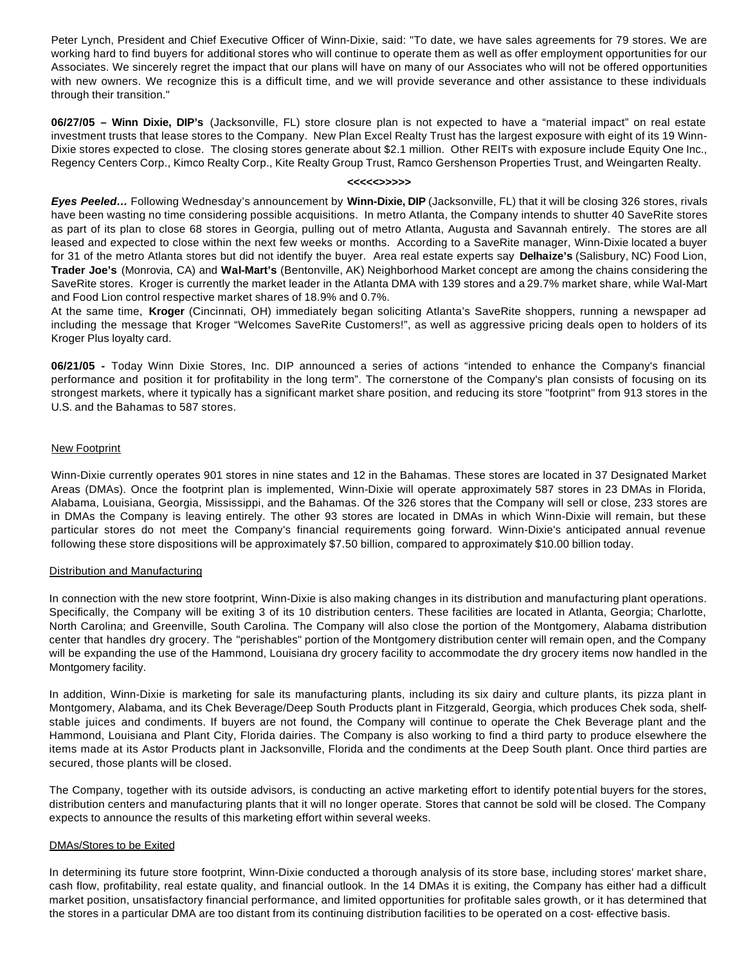Peter Lynch, President and Chief Executive Officer of Winn-Dixie, said: "To date, we have sales agreements for 79 stores. We are working hard to find buyers for additional stores who will continue to operate them as well as offer employment opportunities for our Associates. We sincerely regret the impact that our plans will have on many of our Associates who will not be offered opportunities with new owners. We recognize this is a difficult time, and we will provide severance and other assistance to these individuals through their transition."

**06/27/05 – Winn Dixie, DIP's** (Jacksonville, FL) store closure plan is not expected to have a "material impact" on real estate investment trusts that lease stores to the Company. New Plan Excel Realty Trust has the largest exposure with eight of its 19 Winn-Dixie stores expected to close. The closing stores generate about \$2.1 million. Other REITs with exposure include Equity One Inc., Regency Centers Corp., Kimco Realty Corp., Kite Realty Group Trust, Ramco Gershenson Properties Trust, and Weingarten Realty.

#### **<<<<<>>>>>**

*Eyes Peeled…* Following Wednesday's announcement by **Winn-Dixie, DIP** (Jacksonville, FL) that it will be closing 326 stores, rivals have been wasting no time considering possible acquisitions. In metro Atlanta, the Company intends to shutter 40 SaveRite stores as part of its plan to close 68 stores in Georgia, pulling out of metro Atlanta, Augusta and Savannah entirely. The stores are all leased and expected to close within the next few weeks or months. According to a SaveRite manager, Winn-Dixie located a buyer for 31 of the metro Atlanta stores but did not identify the buyer. Area real estate experts say **Delhaize's** (Salisbury, NC) Food Lion, **Trader Joe's** (Monrovia, CA) and **Wal-Mart's** (Bentonville, AK) Neighborhood Market concept are among the chains considering the SaveRite stores. Kroger is currently the market leader in the Atlanta DMA with 139 stores and a 29.7% market share, while Wal-Mart and Food Lion control respective market shares of 18.9% and 0.7%.

At the same time, **Kroger** (Cincinnati, OH) immediately began soliciting Atlanta's SaveRite shoppers, running a newspaper ad including the message that Kroger "Welcomes SaveRite Customers!", as well as aggressive pricing deals open to holders of its Kroger Plus loyalty card.

**06/21/05 -** Today Winn Dixie Stores, Inc. DIP announced a series of actions "intended to enhance the Company's financial performance and position it for profitability in the long term". The cornerstone of the Company's plan consists of focusing on its strongest markets, where it typically has a significant market share position, and reducing its store "footprint" from 913 stores in the U.S. and the Bahamas to 587 stores.

#### New Footprint

Winn-Dixie currently operates 901 stores in nine states and 12 in the Bahamas. These stores are located in 37 Designated Market Areas (DMAs). Once the footprint plan is implemented, Winn-Dixie will operate approximately 587 stores in 23 DMAs in Florida, Alabama, Louisiana, Georgia, Mississippi, and the Bahamas. Of the 326 stores that the Company will sell or close, 233 stores are in DMAs the Company is leaving entirely. The other 93 stores are located in DMAs in which Winn-Dixie will remain, but these particular stores do not meet the Company's financial requirements going forward. Winn-Dixie's anticipated annual revenue following these store dispositions will be approximately \$7.50 billion, compared to approximately \$10.00 billion today.

#### Distribution and Manufacturing

In connection with the new store footprint, Winn-Dixie is also making changes in its distribution and manufacturing plant operations. Specifically, the Company will be exiting 3 of its 10 distribution centers. These facilities are located in Atlanta, Georgia; Charlotte, North Carolina; and Greenville, South Carolina. The Company will also close the portion of the Montgomery, Alabama distribution center that handles dry grocery. The "perishables" portion of the Montgomery distribution center will remain open, and the Company will be expanding the use of the Hammond, Louisiana dry grocery facility to accommodate the dry grocery items now handled in the Montgomery facility.

In addition, Winn-Dixie is marketing for sale its manufacturing plants, including its six dairy and culture plants, its pizza plant in Montgomery, Alabama, and its Chek Beverage/Deep South Products plant in Fitzgerald, Georgia, which produces Chek soda, shelfstable juices and condiments. If buyers are not found, the Company will continue to operate the Chek Beverage plant and the Hammond, Louisiana and Plant City, Florida dairies. The Company is also working to find a third party to produce elsewhere the items made at its Astor Products plant in Jacksonville, Florida and the condiments at the Deep South plant. Once third parties are secured, those plants will be closed.

The Company, together with its outside advisors, is conducting an active marketing effort to identify potential buyers for the stores, distribution centers and manufacturing plants that it will no longer operate. Stores that cannot be sold will be closed. The Company expects to announce the results of this marketing effort within several weeks.

#### DMAs/Stores to be Exited

In determining its future store footprint, Winn-Dixie conducted a thorough analysis of its store base, including stores' market share, cash flow, profitability, real estate quality, and financial outlook. In the 14 DMAs it is exiting, the Company has either had a difficult market position, unsatisfactory financial performance, and limited opportunities for profitable sales growth, or it has determined that the stores in a particular DMA are too distant from its continuing distribution facilities to be operated on a cost- effective basis.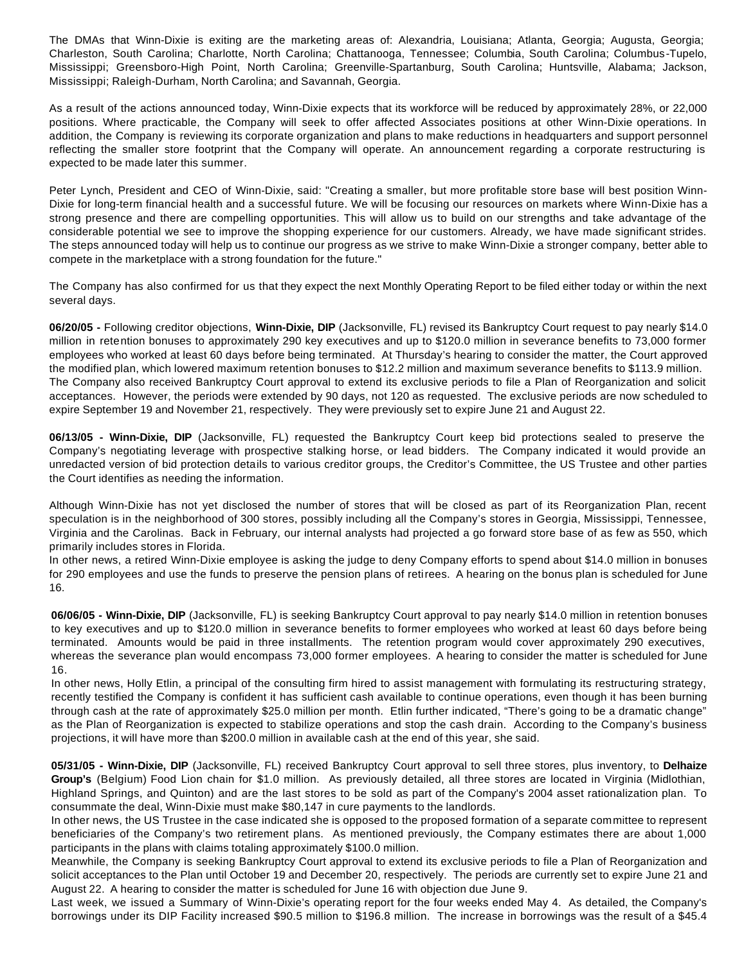The DMAs that Winn-Dixie is exiting are the marketing areas of: Alexandria, Louisiana; Atlanta, Georgia; Augusta, Georgia; Charleston, South Carolina; Charlotte, North Carolina; Chattanooga, Tennessee; Columbia, South Carolina; Columbus-Tupelo, Mississippi; Greensboro-High Point, North Carolina; Greenville-Spartanburg, South Carolina; Huntsville, Alabama; Jackson, Mississippi; Raleigh-Durham, North Carolina; and Savannah, Georgia.

As a result of the actions announced today, Winn-Dixie expects that its workforce will be reduced by approximately 28%, or 22,000 positions. Where practicable, the Company will seek to offer affected Associates positions at other Winn-Dixie operations. In addition, the Company is reviewing its corporate organization and plans to make reductions in headquarters and support personnel reflecting the smaller store footprint that the Company will operate. An announcement regarding a corporate restructuring is expected to be made later this summer.

Peter Lynch, President and CEO of Winn-Dixie, said: "Creating a smaller, but more profitable store base will best position Winn-Dixie for long-term financial health and a successful future. We will be focusing our resources on markets where Winn-Dixie has a strong presence and there are compelling opportunities. This will allow us to build on our strengths and take advantage of the considerable potential we see to improve the shopping experience for our customers. Already, we have made significant strides. The steps announced today will help us to continue our progress as we strive to make Winn-Dixie a stronger company, better able to compete in the marketplace with a strong foundation for the future."

The Company has also confirmed for us that they expect the next Monthly Operating Report to be filed either today or within the next several days.

**06/20/05 -** Following creditor objections, **Winn-Dixie, DIP** (Jacksonville, FL) revised its Bankruptcy Court request to pay nearly \$14.0 million in retention bonuses to approximately 290 key executives and up to \$120.0 million in severance benefits to 73,000 former employees who worked at least 60 days before being terminated. At Thursday's hearing to consider the matter, the Court approved the modified plan, which lowered maximum retention bonuses to \$12.2 million and maximum severance benefits to \$113.9 million. The Company also received Bankruptcy Court approval to extend its exclusive periods to file a Plan of Reorganization and solicit acceptances. However, the periods were extended by 90 days, not 120 as requested. The exclusive periods are now scheduled to expire September 19 and November 21, respectively. They were previously set to expire June 21 and August 22.

**06/13/05 - Winn-Dixie, DIP** (Jacksonville, FL) requested the Bankruptcy Court keep bid protections sealed to preserve the Company's negotiating leverage with prospective stalking horse, or lead bidders. The Company indicated it would provide an unredacted version of bid protection details to various creditor groups, the Creditor's Committee, the US Trustee and other parties the Court identifies as needing the information.

Although Winn-Dixie has not yet disclosed the number of stores that will be closed as part of its Reorganization Plan, recent speculation is in the neighborhood of 300 stores, possibly including all the Company's stores in Georgia, Mississippi, Tennessee, Virginia and the Carolinas. Back in February, our internal analysts had projected a go forward store base of as few as 550, which primarily includes stores in Florida.

In other news, a retired Winn-Dixie employee is asking the judge to deny Company efforts to spend about \$14.0 million in bonuses for 290 employees and use the funds to preserve the pension plans of retirees. A hearing on the bonus plan is scheduled for June 16.

**06/06/05 - Winn-Dixie, DIP** (Jacksonville, FL) is seeking Bankruptcy Court approval to pay nearly \$14.0 million in retention bonuses to key executives and up to \$120.0 million in severance benefits to former employees who worked at least 60 days before being terminated. Amounts would be paid in three installments. The retention program would cover approximately 290 executives, whereas the severance plan would encompass 73,000 former employees. A hearing to consider the matter is scheduled for June 16.

In other news, Holly Etlin, a principal of the consulting firm hired to assist management with formulating its restructuring strategy, recently testified the Company is confident it has sufficient cash available to continue operations, even though it has been burning through cash at the rate of approximately \$25.0 million per month. Etlin further indicated, "There's going to be a dramatic change" as the Plan of Reorganization is expected to stabilize operations and stop the cash drain. According to the Company's business projections, it will have more than \$200.0 million in available cash at the end of this year, she said.

**05/31/05 - Winn-Dixie, DIP** (Jacksonville, FL) received Bankruptcy Court approval to sell three stores, plus inventory, to **Delhaize Group's** (Belgium) Food Lion chain for \$1.0 million. As previously detailed, all three stores are located in Virginia (Midlothian, Highland Springs, and Quinton) and are the last stores to be sold as part of the Company's 2004 asset rationalization plan. To consummate the deal, Winn-Dixie must make \$80,147 in cure payments to the landlords.

In other news, the US Trustee in the case indicated she is opposed to the proposed formation of a separate committee to represent beneficiaries of the Company's two retirement plans. As mentioned previously, the Company estimates there are about 1,000 participants in the plans with claims totaling approximately \$100.0 million.

Meanwhile, the Company is seeking Bankruptcy Court approval to extend its exclusive periods to file a Plan of Reorganization and solicit acceptances to the Plan until October 19 and December 20, respectively. The periods are currently set to expire June 21 and August 22. A hearing to consider the matter is scheduled for June 16 with objection due June 9.

Last week, we issued a Summary of Winn-Dixie's operating report for the four weeks ended May 4. As detailed, the Company's borrowings under its DIP Facility increased \$90.5 million to \$196.8 million. The increase in borrowings was the result of a \$45.4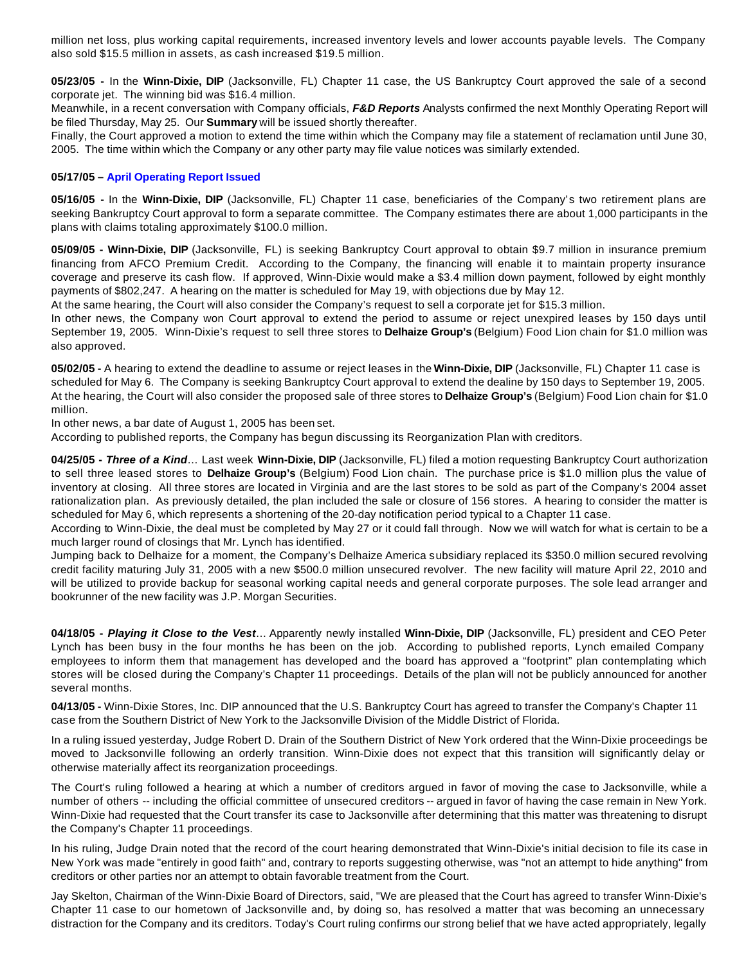million net loss, plus working capital requirements, increased inventory levels and lower accounts payable levels. The Company also sold \$15.5 million in assets, as cash increased \$19.5 million.

**05/23/05 -** In the **Winn-Dixie, DIP** (Jacksonville, FL) Chapter 11 case, the US Bankruptcy Court approved the sale of a second corporate jet. The winning bid was \$16.4 million.

Meanwhile, in a recent conversation with Company officials, *F&D Reports* Analysts confirmed the next Monthly Operating Report will be filed Thursday, May 25. Our **Summary** will be issued shortly thereafter.

Finally, the Court approved a motion to extend the time within which the Company may file a statement of reclamation until June 30, 2005. The time within which the Company or any other party may file value notices was similarly extended.

#### **05/17/05 – April Operating Report Issued**

**05/16/05 -** In the **Winn-Dixie, DIP** (Jacksonville, FL) Chapter 11 case, beneficiaries of the Company's two retirement plans are seeking Bankruptcy Court approval to form a separate committee. The Company estimates there are about 1,000 participants in the plans with claims totaling approximately \$100.0 million.

**05/09/05 - Winn-Dixie, DIP** (Jacksonville, FL) is seeking Bankruptcy Court approval to obtain \$9.7 million in insurance premium financing from AFCO Premium Credit. According to the Company, the financing will enable it to maintain property insurance coverage and preserve its cash flow. If approved, Winn-Dixie would make a \$3.4 million down payment, followed by eight monthly payments of \$802,247. A hearing on the matter is scheduled for May 19, with objections due by May 12.

At the same hearing, the Court will also consider the Company's request to sell a corporate jet for \$15.3 million.

In other news, the Company won Court approval to extend the period to assume or reject unexpired leases by 150 days until September 19, 2005. Winn-Dixie's request to sell three stores to **Delhaize Group's** (Belgium) Food Lion chain for \$1.0 million was also approved.

**05/02/05 -** A hearing to extend the deadline to assume or reject leases in the **Winn-Dixie, DIP** (Jacksonville, FL) Chapter 11 case is scheduled for May 6. The Company is seeking Bankruptcy Court approval to extend the dealine by 150 days to September 19, 2005. At the hearing, the Court will also consider the proposed sale of three stores to **Delhaize Group's** (Belgium) Food Lion chain for \$1.0 million.

In other news, a bar date of August 1, 2005 has been set.

According to published reports, the Company has begun discussing its Reorganization Plan with creditors.

**04/25/05 -** *Three of a Kind*… Last week **Winn-Dixie, DIP** (Jacksonville, FL) filed a motion requesting Bankruptcy Court authorization to sell three leased stores to **Delhaize Group's** (Belgium) Food Lion chain. The purchase price is \$1.0 million plus the value of inventory at closing. All three stores are located in Virginia and are the last stores to be sold as part of the Company's 2004 asset rationalization plan. As previously detailed, the plan included the sale or closure of 156 stores. A hearing to consider the matter is scheduled for May 6, which represents a shortening of the 20-day notification period typical to a Chapter 11 case.

According to Winn-Dixie, the deal must be completed by May 27 or it could fall through. Now we will watch for what is certain to be a much larger round of closings that Mr. Lynch has identified.

Jumping back to Delhaize for a moment, the Company's Delhaize America subsidiary replaced its \$350.0 million secured revolving credit facility maturing July 31, 2005 with a new \$500.0 million unsecured revolver. The new facility will mature April 22, 2010 and will be utilized to provide backup for seasonal working capital needs and general corporate purposes. The sole lead arranger and bookrunner of the new facility was J.P. Morgan Securities.

**04/18/05 -** *Playing it Close to the Vest*… Apparently newly installed **Winn-Dixie, DIP** (Jacksonville, FL) president and CEO Peter Lynch has been busy in the four months he has been on the job. According to published reports, Lynch emailed Company employees to inform them that management has developed and the board has approved a "footprint" plan contemplating which stores will be closed during the Company's Chapter 11 proceedings. Details of the plan will not be publicly announced for another several months.

**04/13/05 -** Winn-Dixie Stores, Inc. DIP announced that the U.S. Bankruptcy Court has agreed to transfer the Company's Chapter 11 case from the Southern District of New York to the Jacksonville Division of the Middle District of Florida.

In a ruling issued yesterday, Judge Robert D. Drain of the Southern District of New York ordered that the Winn-Dixie proceedings be moved to Jacksonville following an orderly transition. Winn-Dixie does not expect that this transition will significantly delay or otherwise materially affect its reorganization proceedings.

The Court's ruling followed a hearing at which a number of creditors argued in favor of moving the case to Jacksonville, while a number of others -- including the official committee of unsecured creditors -- argued in favor of having the case remain in New York. Winn-Dixie had requested that the Court transfer its case to Jacksonville after determining that this matter was threatening to disrupt the Company's Chapter 11 proceedings.

In his ruling, Judge Drain noted that the record of the court hearing demonstrated that Winn-Dixie's initial decision to file its case in New York was made "entirely in good faith" and, contrary to reports suggesting otherwise, was "not an attempt to hide anything" from creditors or other parties nor an attempt to obtain favorable treatment from the Court.

Jay Skelton, Chairman of the Winn-Dixie Board of Directors, said, "We are pleased that the Court has agreed to transfer Winn-Dixie's Chapter 11 case to our hometown of Jacksonville and, by doing so, has resolved a matter that was becoming an unnecessary distraction for the Company and its creditors. Today's Court ruling confirms our strong belief that we have acted appropriately, legally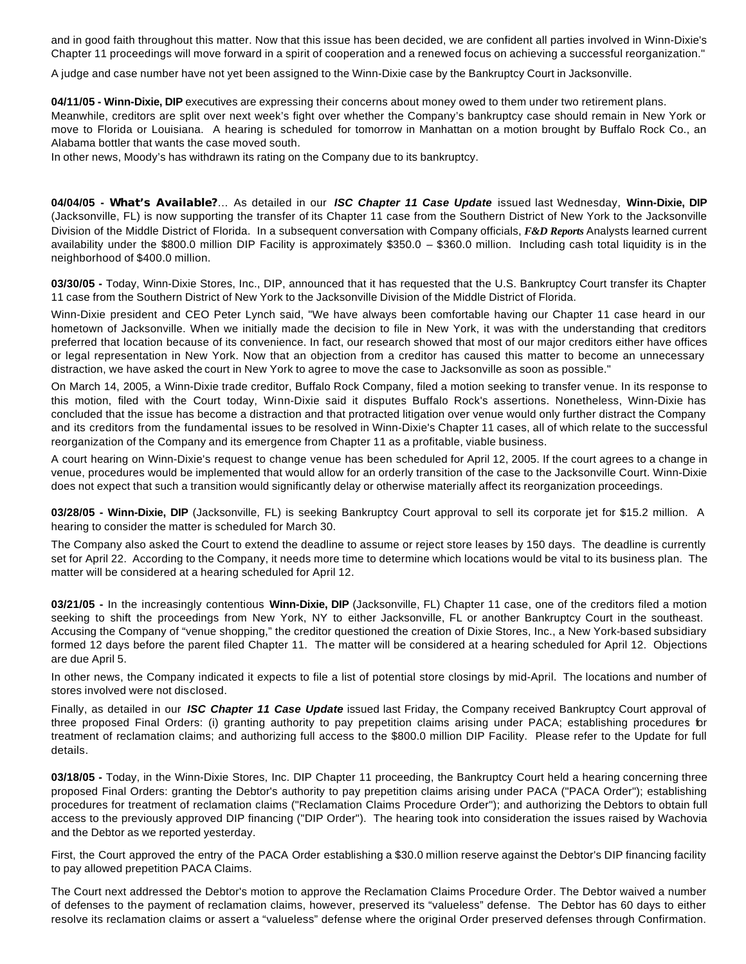and in good faith throughout this matter. Now that this issue has been decided, we are confident all parties involved in Winn-Dixie's Chapter 11 proceedings will move forward in a spirit of cooperation and a renewed focus on achieving a successful reorganization."

A judge and case number have not yet been assigned to the Winn-Dixie case by the Bankruptcy Court in Jacksonville.

**04/11/05 - Winn-Dixie, DIP** executives are expressing their concerns about money owed to them under two retirement plans. Meanwhile, creditors are split over next week's fight over whether the Company's bankruptcy case should remain in New York or move to Florida or Louisiana. A hearing is scheduled for tomorrow in Manhattan on a motion brought by Buffalo Rock Co., an Alabama bottler that wants the case moved south.

In other news, Moody's has withdrawn its rating on the Company due to its bankruptcy.

**04/04/05 -** *What's Available?*… As detailed in our *ISC Chapter 11 Case Update* issued last Wednesday, **Winn-Dixie, DIP** (Jacksonville, FL) is now supporting the transfer of its Chapter 11 case from the Southern District of New York to the Jacksonville Division of the Middle District of Florida. In a subsequent conversation with Company officials, *F&D Reports* Analysts learned current availability under the \$800.0 million DIP Facility is approximately \$350.0 – \$360.0 million. Including cash total liquidity is in the neighborhood of \$400.0 million.

**03/30/05 -** Today, Winn-Dixie Stores, Inc., DIP, announced that it has requested that the U.S. Bankruptcy Court transfer its Chapter 11 case from the Southern District of New York to the Jacksonville Division of the Middle District of Florida.

Winn-Dixie president and CEO Peter Lynch said, "We have always been comfortable having our Chapter 11 case heard in our hometown of Jacksonville. When we initially made the decision to file in New York, it was with the understanding that creditors preferred that location because of its convenience. In fact, our research showed that most of our major creditors either have offices or legal representation in New York. Now that an objection from a creditor has caused this matter to become an unnecessary distraction, we have asked the court in New York to agree to move the case to Jacksonville as soon as possible."

On March 14, 2005, a Winn-Dixie trade creditor, Buffalo Rock Company, filed a motion seeking to transfer venue. In its response to this motion, filed with the Court today, Winn-Dixie said it disputes Buffalo Rock's assertions. Nonetheless, Winn-Dixie has concluded that the issue has become a distraction and that protracted litigation over venue would only further distract the Company and its creditors from the fundamental issues to be resolved in Winn-Dixie's Chapter 11 cases, all of which relate to the successful reorganization of the Company and its emergence from Chapter 11 as a profitable, viable business.

A court hearing on Winn-Dixie's request to change venue has been scheduled for April 12, 2005. If the court agrees to a change in venue, procedures would be implemented that would allow for an orderly transition of the case to the Jacksonville Court. Winn-Dixie does not expect that such a transition would significantly delay or otherwise materially affect its reorganization proceedings.

**03/28/05 - Winn-Dixie, DIP** (Jacksonville, FL) is seeking Bankruptcy Court approval to sell its corporate jet for \$15.2 million. A hearing to consider the matter is scheduled for March 30.

The Company also asked the Court to extend the deadline to assume or reject store leases by 150 days. The deadline is currently set for April 22. According to the Company, it needs more time to determine which locations would be vital to its business plan. The matter will be considered at a hearing scheduled for April 12.

**03/21/05 -** In the increasingly contentious **Winn-Dixie, DIP** (Jacksonville, FL) Chapter 11 case, one of the creditors filed a motion seeking to shift the proceedings from New York, NY to either Jacksonville, FL or another Bankruptcy Court in the southeast. Accusing the Company of "venue shopping," the creditor questioned the creation of Dixie Stores, Inc., a New York-based subsidiary formed 12 days before the parent filed Chapter 11. The matter will be considered at a hearing scheduled for April 12. Objections are due April 5.

In other news, the Company indicated it expects to file a list of potential store closings by mid-April. The locations and number of stores involved were not disclosed.

Finally, as detailed in our *ISC Chapter 11 Case Update* issued last Friday, the Company received Bankruptcy Court approval of three proposed Final Orders: (i) granting authority to pay prepetition claims arising under PACA; establishing procedures for treatment of reclamation claims; and authorizing full access to the \$800.0 million DIP Facility. Please refer to the Update for full details.

**03/18/05 -** Today, in the Winn-Dixie Stores, Inc. DIP Chapter 11 proceeding, the Bankruptcy Court held a hearing concerning three proposed Final Orders: granting the Debtor's authority to pay prepetition claims arising under PACA ("PACA Order"); establishing procedures for treatment of reclamation claims ("Reclamation Claims Procedure Order"); and authorizing the Debtors to obtain full access to the previously approved DIP financing ("DIP Order"). The hearing took into consideration the issues raised by Wachovia and the Debtor as we reported yesterday.

First, the Court approved the entry of the PACA Order establishing a \$30.0 million reserve against the Debtor's DIP financing facility to pay allowed prepetition PACA Claims.

The Court next addressed the Debtor's motion to approve the Reclamation Claims Procedure Order. The Debtor waived a number of defenses to the payment of reclamation claims, however, preserved its "valueless" defense. The Debtor has 60 days to either resolve its reclamation claims or assert a "valueless" defense where the original Order preserved defenses through Confirmation.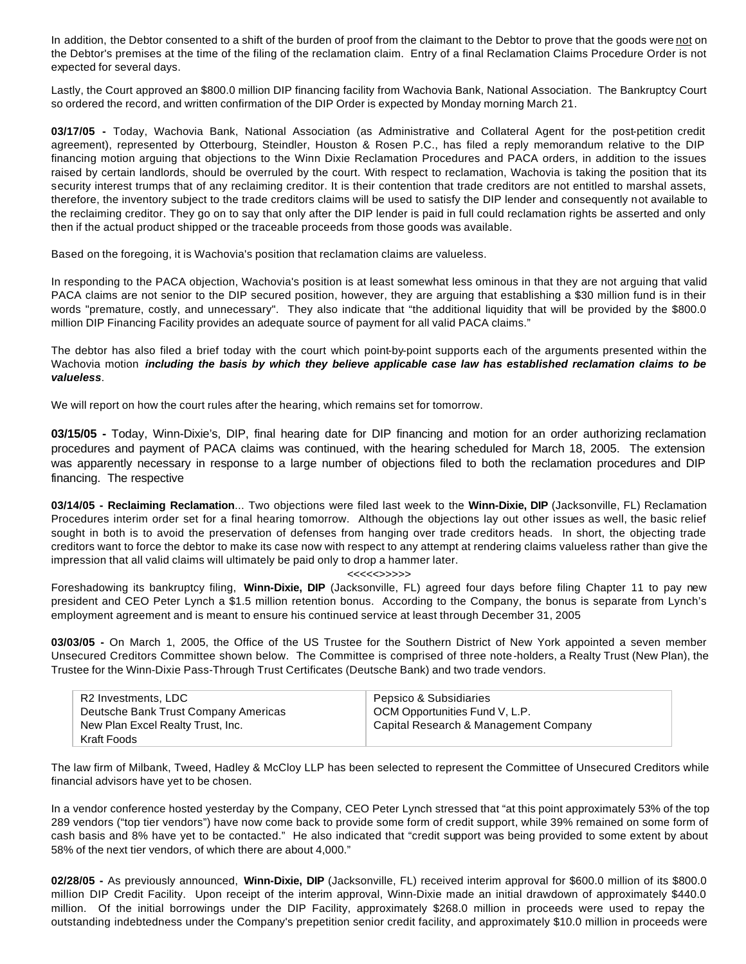In addition, the Debtor consented to a shift of the burden of proof from the claimant to the Debtor to prove that the goods were not on the Debtor's premises at the time of the filing of the reclamation claim. Entry of a final Reclamation Claims Procedure Order is not expected for several days.

Lastly, the Court approved an \$800.0 million DIP financing facility from Wachovia Bank, National Association. The Bankruptcy Court so ordered the record, and written confirmation of the DIP Order is expected by Monday morning March 21.

**03/17/05 -** Today, Wachovia Bank, National Association (as Administrative and Collateral Agent for the post-petition credit agreement), represented by Otterbourg, Steindler, Houston & Rosen P.C., has filed a reply memorandum relative to the DIP financing motion arguing that objections to the Winn Dixie Reclamation Procedures and PACA orders, in addition to the issues raised by certain landlords, should be overruled by the court. With respect to reclamation, Wachovia is taking the position that its security interest trumps that of any reclaiming creditor. It is their contention that trade creditors are not entitled to marshal assets, therefore, the inventory subject to the trade creditors claims will be used to satisfy the DIP lender and consequently not available to the reclaiming creditor. They go on to say that only after the DIP lender is paid in full could reclamation rights be asserted and only then if the actual product shipped or the traceable proceeds from those goods was available.

Based on the foregoing, it is Wachovia's position that reclamation claims are valueless.

In responding to the PACA objection, Wachovia's position is at least somewhat less ominous in that they are not arguing that valid PACA claims are not senior to the DIP secured position, however, they are arguing that establishing a \$30 million fund is in their words "premature, costly, and unnecessary". They also indicate that "the additional liquidity that will be provided by the \$800.0 million DIP Financing Facility provides an adequate source of payment for all valid PACA claims."

The debtor has also filed a brief today with the court which point-by-point supports each of the arguments presented within the Wachovia motion *including the basis by which they believe applicable case law has established reclamation claims to be valueless*.

We will report on how the court rules after the hearing, which remains set for tomorrow.

**03/15/05 -** Today, Winn-Dixie's, DIP, final hearing date for DIP financing and motion for an order authorizing reclamation procedures and payment of PACA claims was continued, with the hearing scheduled for March 18, 2005. The extension was apparently necessary in response to a large number of objections filed to both the reclamation procedures and DIP financing. The respective

**03/14/05 - Reclaiming Reclamation**... Two objections were filed last week to the **Winn-Dixie, DIP** (Jacksonville, FL) Reclamation Procedures interim order set for a final hearing tomorrow. Although the objections lay out other issues as well, the basic relief sought in both is to avoid the preservation of defenses from hanging over trade creditors heads. In short, the objecting trade creditors want to force the debtor to make its case now with respect to any attempt at rendering claims valueless rather than give the impression that all valid claims will ultimately be paid only to drop a hammer later.

#### <<<<<>>>>>

Foreshadowing its bankruptcy filing, **Winn-Dixie, DIP** (Jacksonville, FL) agreed four days before filing Chapter 11 to pay new president and CEO Peter Lynch a \$1.5 million retention bonus. According to the Company, the bonus is separate from Lynch's employment agreement and is meant to ensure his continued service at least through December 31, 2005

**03/03/05 -** On March 1, 2005, the Office of the US Trustee for the Southern District of New York appointed a seven member Unsecured Creditors Committee shown below. The Committee is comprised of three note-holders, a Realty Trust (New Plan), the Trustee for the Winn-Dixie Pass-Through Trust Certificates (Deutsche Bank) and two trade vendors.

| R2 Investments, LDC                  | Pepsico & Subsidiaries                |
|--------------------------------------|---------------------------------------|
| Deutsche Bank Trust Company Americas | OCM Opportunities Fund V, L.P.        |
| New Plan Excel Realty Trust, Inc.    | Capital Research & Management Company |
| Kraft Foods                          |                                       |

The law firm of Milbank, Tweed, Hadley & McCloy LLP has been selected to represent the Committee of Unsecured Creditors while financial advisors have yet to be chosen.

In a vendor conference hosted yesterday by the Company, CEO Peter Lynch stressed that "at this point approximately 53% of the top 289 vendors ("top tier vendors") have now come back to provide some form of credit support, while 39% remained on some form of cash basis and 8% have yet to be contacted." He also indicated that "credit support was being provided to some extent by about 58% of the next tier vendors, of which there are about 4,000."

**02/28/05 -** As previously announced, **Winn-Dixie, DIP** (Jacksonville, FL) received interim approval for \$600.0 million of its \$800.0 million DIP Credit Facility. Upon receipt of the interim approval, Winn-Dixie made an initial drawdown of approximately \$440.0 million. Of the initial borrowings under the DIP Facility, approximately \$268.0 million in proceeds were used to repay the outstanding indebtedness under the Company's prepetition senior credit facility, and approximately \$10.0 million in proceeds were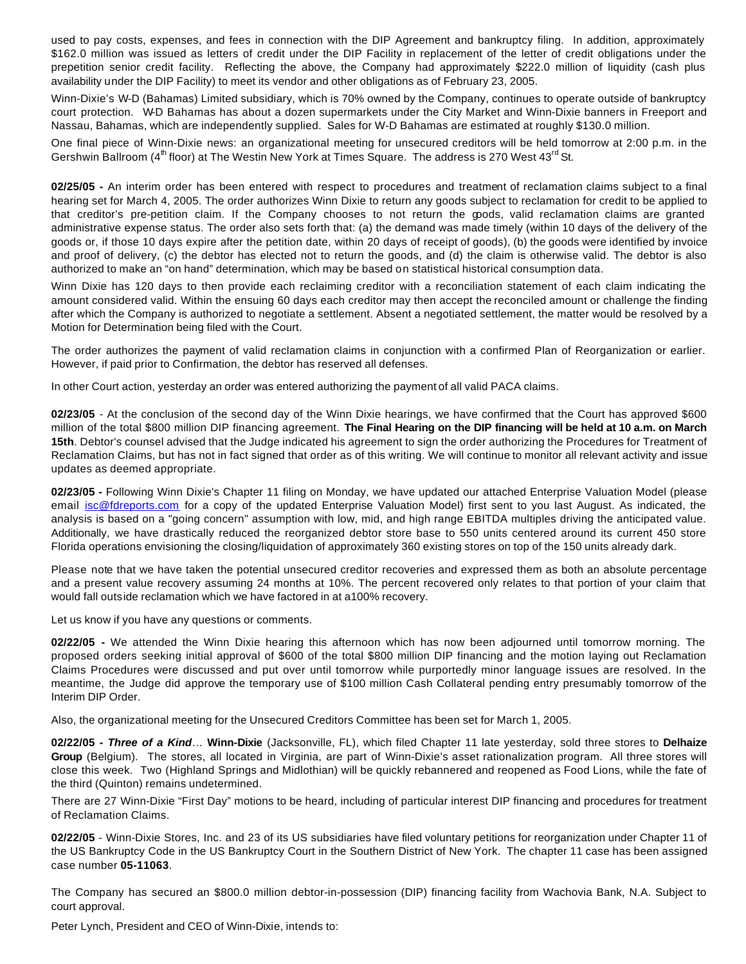used to pay costs, expenses, and fees in connection with the DIP Agreement and bankruptcy filing. In addition, approximately \$162.0 million was issued as letters of credit under the DIP Facility in replacement of the letter of credit obligations under the prepetition senior credit facility. Reflecting the above, the Company had approximately \$222.0 million of liquidity (cash plus availability under the DIP Facility) to meet its vendor and other obligations as of February 23, 2005.

Winn-Dixie's W-D (Bahamas) Limited subsidiary, which is 70% owned by the Company, continues to operate outside of bankruptcy court protection. W-D Bahamas has about a dozen supermarkets under the City Market and Winn-Dixie banners in Freeport and Nassau, Bahamas, which are independently supplied. Sales for W-D Bahamas are estimated at roughly \$130.0 million.

One final piece of Winn-Dixie news: an organizational meeting for unsecured creditors will be held tomorrow at 2:00 p.m. in the Gershwin Ballroom ( $4<sup>th</sup>$  floor) at The Westin New York at Times Square. The address is 270 West  $43<sup>rd</sup>$  St.

**02/25/05 -** An interim order has been entered with respect to procedures and treatment of reclamation claims subject to a final hearing set for March 4, 2005. The order authorizes Winn Dixie to return any goods subject to reclamation for credit to be applied to that creditor's pre-petition claim. If the Company chooses to not return the goods, valid reclamation claims are granted administrative expense status. The order also sets forth that: (a) the demand was made timely (within 10 days of the delivery of the goods or, if those 10 days expire after the petition date, within 20 days of receipt of goods), (b) the goods were identified by invoice and proof of delivery, (c) the debtor has elected not to return the goods, and (d) the claim is otherwise valid. The debtor is also authorized to make an "on hand" determination, which may be based on statistical historical consumption data.

Winn Dixie has 120 days to then provide each reclaiming creditor with a reconciliation statement of each claim indicating the amount considered valid. Within the ensuing 60 days each creditor may then accept the reconciled amount or challenge the finding after which the Company is authorized to negotiate a settlement. Absent a negotiated settlement, the matter would be resolved by a Motion for Determination being filed with the Court.

The order authorizes the payment of valid reclamation claims in conjunction with a confirmed Plan of Reorganization or earlier. However, if paid prior to Confirmation, the debtor has reserved all defenses.

In other Court action, yesterday an order was entered authorizing the payment of all valid PACA claims.

**02/23/05** - At the conclusion of the second day of the Winn Dixie hearings, we have confirmed that the Court has approved \$600 million of the total \$800 million DIP financing agreement. **The Final Hearing on the DIP financing will be held at 10 a.m. on March 15th**. Debtor's counsel advised that the Judge indicated his agreement to sign the order authorizing the Procedures for Treatment of Reclamation Claims, but has not in fact signed that order as of this writing. We will continue to monitor all relevant activity and issue updates as deemed appropriate.

**02/23/05 -** Following Winn Dixie's Chapter 11 filing on Monday, we have updated our attached Enterprise Valuation Model (please email isc@fdreports.com for a copy of the updated Enterprise Valuation Model) first sent to you last August. As indicated, the analysis is based on a "going concern" assumption with low, mid, and high range EBITDA multiples driving the anticipated value. Additionally, we have drastically reduced the reorganized debtor store base to 550 units centered around its current 450 store Florida operations envisioning the closing/liquidation of approximately 360 existing stores on top of the 150 units already dark.

Please note that we have taken the potential unsecured creditor recoveries and expressed them as both an absolute percentage and a present value recovery assuming 24 months at 10%. The percent recovered only relates to that portion of your claim that would fall outside reclamation which we have factored in at a100% recovery.

Let us know if you have any questions or comments.

**02/22/05 -** We attended the Winn Dixie hearing this afternoon which has now been adjourned until tomorrow morning. The proposed orders seeking initial approval of \$600 of the total \$800 million DIP financing and the motion laying out Reclamation Claims Procedures were discussed and put over until tomorrow while purportedly minor language issues are resolved. In the meantime, the Judge did approve the temporary use of \$100 million Cash Collateral pending entry presumably tomorrow of the Interim DIP Order.

Also, the organizational meeting for the Unsecured Creditors Committee has been set for March 1, 2005.

**02/22/05 -** *Three of a Kind*… **Winn-Dixie** (Jacksonville, FL), which filed Chapter 11 late yesterday, sold three stores to **Delhaize Group** (Belgium). The stores, all located in Virginia, are part of Winn-Dixie's asset rationalization program. All three stores will close this week. Two (Highland Springs and Midlothian) will be quickly rebannered and reopened as Food Lions, while the fate of the third (Quinton) remains undetermined.

There are 27 Winn-Dixie "First Day" motions to be heard, including of particular interest DIP financing and procedures for treatment of Reclamation Claims.

**02/22/05** - Winn-Dixie Stores, Inc. and 23 of its US subsidiaries have filed voluntary petitions for reorganization under Chapter 11 of the US Bankruptcy Code in the US Bankruptcy Court in the Southern District of New York. The chapter 11 case has been assigned case number **05-11063**.

The Company has secured an \$800.0 million debtor-in-possession (DIP) financing facility from Wachovia Bank, N.A. Subject to court approval.

Peter Lynch, President and CEO of Winn-Dixie, intends to: